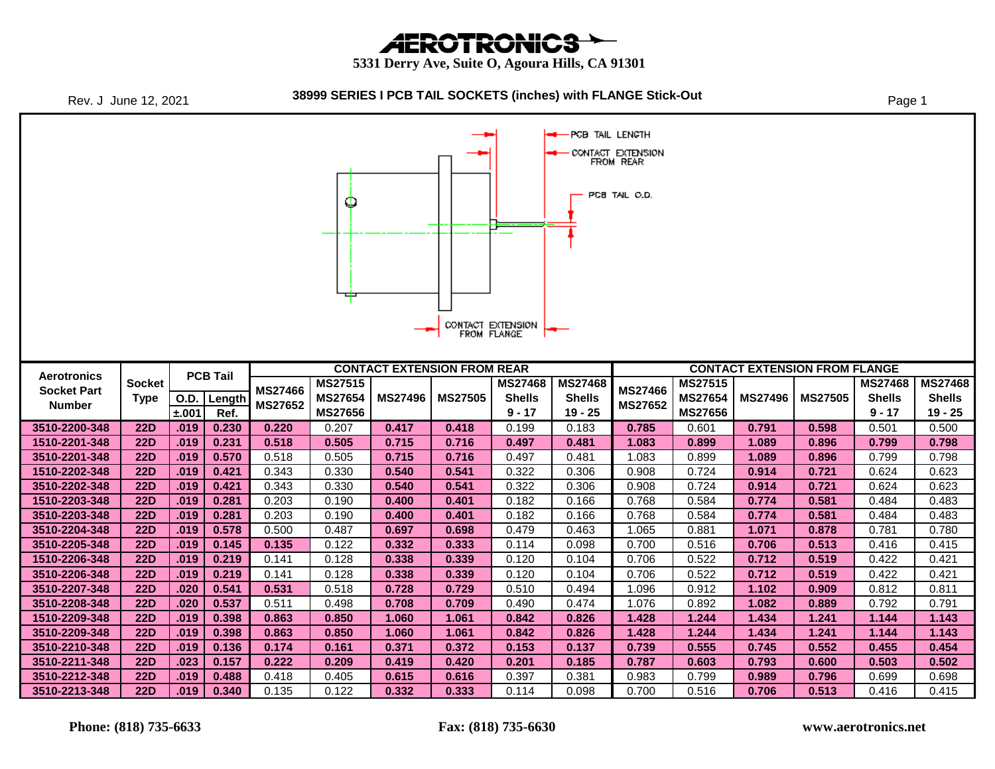**AEROTRONICS** 

 **5331 Derry Ave, Suite O, Agoura Hills, CA 91301**



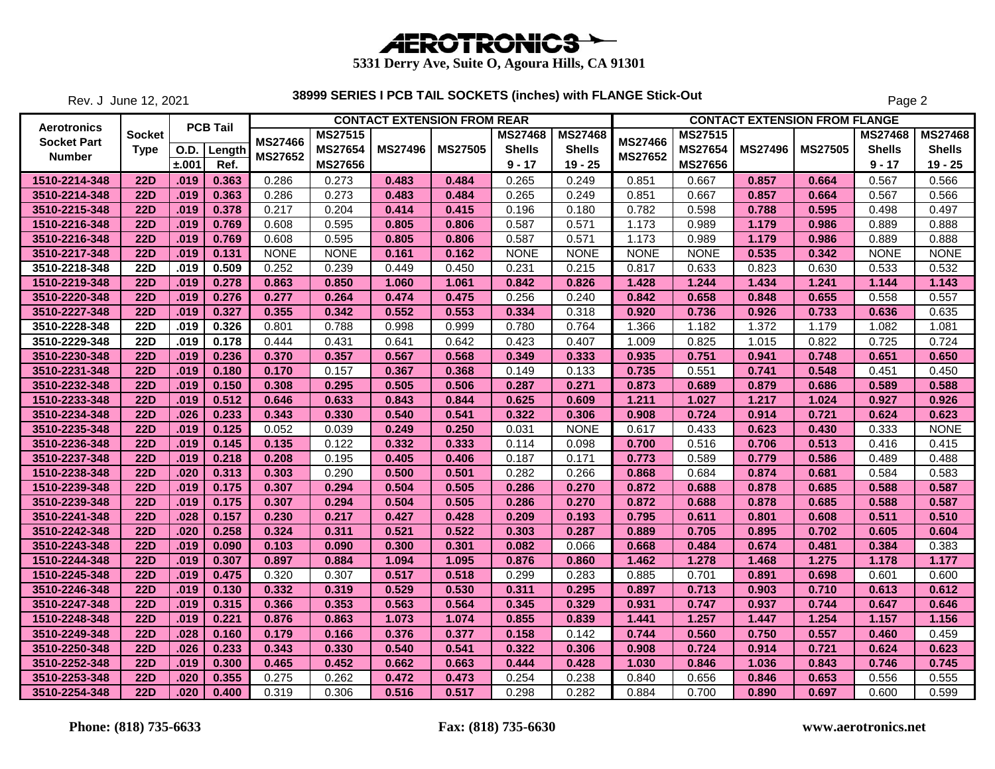

Rev. J June 12, 2021

|                    |             |             |                 |                |                | <b>CONTACT EXTENSION FROM REAR</b> |                |                |                |                |                |                | <b>CONTACT EXTENSION FROM FLANGE</b> |                |                |
|--------------------|-------------|-------------|-----------------|----------------|----------------|------------------------------------|----------------|----------------|----------------|----------------|----------------|----------------|--------------------------------------|----------------|----------------|
| <b>Aerotronics</b> | Socket      |             | <b>PCB Tail</b> |                | <b>MS27515</b> |                                    |                | <b>MS27468</b> | <b>MS27468</b> |                | <b>MS27515</b> |                |                                      | <b>MS27468</b> | <b>MS27468</b> |
| <b>Socket Part</b> | <b>Type</b> | <b>O.D.</b> | Length          | <b>MS27466</b> | <b>MS27654</b> | <b>MS27496</b>                     | <b>MS27505</b> | <b>Shells</b>  | <b>Shells</b>  | <b>MS27466</b> | <b>MS27654</b> | <b>MS27496</b> | <b>MS27505</b>                       | <b>Shells</b>  | <b>Shells</b>  |
| <b>Number</b>      |             | ±.001       | Ref.            | <b>MS27652</b> | <b>MS27656</b> |                                    |                | $9 - 17$       | $19 - 25$      | <b>MS27652</b> | <b>MS27656</b> |                |                                      | $9 - 17$       | $19 - 25$      |
| 1510-2214-348      | <b>22D</b>  | .019        | 0.363           | 0.286          | 0.273          | 0.483                              | 0.484          | 0.265          | 0.249          | 0.851          | 0.667          | 0.857          | 0.664                                | 0.567          | 0.566          |
| 3510-2214-348      | <b>22D</b>  | .019        | 0.363           | 0.286          | 0.273          | 0.483                              | 0.484          | 0.265          | 0.249          | 0.851          | 0.667          | 0.857          | 0.664                                | 0.567          | 0.566          |
| 3510-2215-348      | <b>22D</b>  | .019        | 0.378           | 0.217          | 0.204          | 0.414                              | 0.415          | 0.196          | 0.180          | 0.782          | 0.598          | 0.788          | 0.595                                | 0.498          | 0.497          |
| 1510-2216-348      | <b>22D</b>  | .019        | 0.769           | 0.608          | 0.595          | 0.805                              | 0.806          | 0.587          | 0.571          | 1.173          | 0.989          | 1.179          | 0.986                                | 0.889          | 0.888          |
| 3510-2216-348      | <b>22D</b>  | .019        | 0.769           | 0.608          | 0.595          | 0.805                              | 0.806          | 0.587          | 0.571          | 1.173          | 0.989          | 1.179          | 0.986                                | 0.889          | 0.888          |
| 3510-2217-348      | <b>22D</b>  | .019        | 0.131           | <b>NONE</b>    | <b>NONE</b>    | 0.161                              | 0.162          | <b>NONE</b>    | <b>NONE</b>    | <b>NONE</b>    | <b>NONE</b>    | 0.535          | 0.342                                | <b>NONE</b>    | <b>NONE</b>    |
| 3510-2218-348      | <b>22D</b>  | .019        | 0.509           | 0.252          | 0.239          | 0.449                              | 0.450          | 0.231          | 0.215          | 0.817          | 0.633          | 0.823          | 0.630                                | 0.533          | 0.532          |
| 1510-2219-348      | <b>22D</b>  | .019        | 0.278           | 0.863          | 0.850          | 1.060                              | 1.061          | 0.842          | 0.826          | 1.428          | 1.244          | 1.434          | 1.241                                | 1.144          | 1.143          |
| 3510-2220-348      | <b>22D</b>  | .019        | 0.276           | 0.277          | 0.264          | 0.474                              | 0.475          | 0.256          | 0.240          | 0.842          | 0.658          | 0.848          | 0.655                                | 0.558          | 0.557          |
| 3510-2227-348      | <b>22D</b>  | .019        | 0.327           | 0.355          | 0.342          | 0.552                              | 0.553          | 0.334          | 0.318          | 0.920          | 0.736          | 0.926          | 0.733                                | 0.636          | 0.635          |
| 3510-2228-348      | <b>22D</b>  | .019        | 0.326           | 0.801          | 0.788          | 0.998                              | 0.999          | 0.780          | 0.764          | 1.366          | 1.182          | 1.372          | 1.179                                | 1.082          | 1.081          |
| 3510-2229-348      | <b>22D</b>  | .019        | 0.178           | 0.444          | 0.431          | 0.641                              | 0.642          | 0.423          | 0.407          | 1.009          | 0.825          | 1.015          | 0.822                                | 0.725          | 0.724          |
| 3510-2230-348      | <b>22D</b>  | .019        | 0.236           | 0.370          | 0.357          | 0.567                              | 0.568          | 0.349          | 0.333          | 0.935          | 0.751          | 0.941          | 0.748                                | 0.651          | 0.650          |
| 3510-2231-348      | <b>22D</b>  | .019        | 0.180           | 0.170          | 0.157          | 0.367                              | 0.368          | 0.149          | 0.133          | 0.735          | 0.551          | 0.741          | 0.548                                | 0.451          | 0.450          |
| 3510-2232-348      | <b>22D</b>  | .019        | 0.150           | 0.308          | 0.295          | 0.505                              | 0.506          | 0.287          | 0.271          | 0.873          | 0.689          | 0.879          | 0.686                                | 0.589          | 0.588          |
| 1510-2233-348      | <b>22D</b>  | .019        | 0.512           | 0.646          | 0.633          | 0.843                              | 0.844          | 0.625          | 0.609          | 1.211          | 1.027          | 1.217          | 1.024                                | 0.927          | 0.926          |
| 3510-2234-348      | <b>22D</b>  | .026        | 0.233           | 0.343          | 0.330          | 0.540                              | 0.541          | 0.322          | 0.306          | 0.908          | 0.724          | 0.914          | 0.721                                | 0.624          | 0.623          |
| 3510-2235-348      | <b>22D</b>  | .019        | 0.125           | 0.052          | 0.039          | 0.249                              | 0.250          | 0.031          | <b>NONE</b>    | 0.617          | 0.433          | 0.623          | 0.430                                | 0.333          | <b>NONE</b>    |
| 3510-2236-348      | <b>22D</b>  | .019        | 0.145           | 0.135          | 0.122          | 0.332                              | 0.333          | 0.114          | 0.098          | 0.700          | 0.516          | 0.706          | 0.513                                | 0.416          | 0.415          |
| 3510-2237-348      | <b>22D</b>  | .019        | 0.218           | 0.208          | 0.195          | 0.405                              | 0.406          | 0.187          | 0.171          | 0.773          | 0.589          | 0.779          | 0.586                                | 0.489          | 0.488          |
| 1510-2238-348      | <b>22D</b>  | .020        | 0.313           | 0.303          | 0.290          | 0.500                              | 0.501          | 0.282          | 0.266          | 0.868          | 0.684          | 0.874          | 0.681                                | 0.584          | 0.583          |
| 1510-2239-348      | <b>22D</b>  | .019        | 0.175           | 0.307          | 0.294          | 0.504                              | 0.505          | 0.286          | 0.270          | 0.872          | 0.688          | 0.878          | 0.685                                | 0.588          | 0.587          |
| 3510-2239-348      | <b>22D</b>  | .019        | 0.175           | 0.307          | 0.294          | 0.504                              | 0.505          | 0.286          | 0.270          | 0.872          | 0.688          | 0.878          | 0.685                                | 0.588          | 0.587          |
| 3510-2241-348      | <b>22D</b>  | .028        | 0.157           | 0.230          | 0.217          | 0.427                              | 0.428          | 0.209          | 0.193          | 0.795          | 0.611          | 0.801          | 0.608                                | 0.511          | 0.510          |
| 3510-2242-348      | <b>22D</b>  | .020        | 0.258           | 0.324          | 0.311          | 0.521                              | 0.522          | 0.303          | 0.287          | 0.889          | 0.705          | 0.895          | 0.702                                | 0.605          | 0.604          |
| 3510-2243-348      | <b>22D</b>  | .019        | 0.090           | 0.103          | 0.090          | 0.300                              | 0.301          | 0.082          | 0.066          | 0.668          | 0.484          | 0.674          | 0.481                                | 0.384          | 0.383          |
| 1510-2244-348      | <b>22D</b>  | .019        | 0.307           | 0.897          | 0.884          | 1.094                              | 1.095          | 0.876          | 0.860          | 1.462          | 1.278          | 1.468          | 1.275                                | 1.178          | 1.177          |
| 1510-2245-348      | <b>22D</b>  | .019        | 0.475           | 0.320          | 0.307          | 0.517                              | 0.518          | 0.299          | 0.283          | 0.885          | 0.701          | 0.891          | 0.698                                | 0.601          | 0.600          |
| 3510-2246-348      | <b>22D</b>  | .019        | 0.130           | 0.332          | 0.319          | 0.529                              | 0.530          | 0.311          | 0.295          | 0.897          | 0.713          | 0.903          | 0.710                                | 0.613          | 0.612          |
| 3510-2247-348      | <b>22D</b>  | .019        | 0.315           | 0.366          | 0.353          | 0.563                              | 0.564          | 0.345          | 0.329          | 0.931          | 0.747          | 0.937          | 0.744                                | 0.647          | 0.646          |
| 1510-2248-348      | <b>22D</b>  | .019        | 0.221           | 0.876          | 0.863          | 1.073                              | 1.074          | 0.855          | 0.839          | 1.441          | 1.257          | 1.447          | 1.254                                | 1.157          | 1.156          |
| 3510-2249-348      | <b>22D</b>  | .028        | 0.160           | 0.179          | 0.166          | 0.376                              | 0.377          | 0.158          | 0.142          | 0.744          | 0.560          | 0.750          | 0.557                                | 0.460          | 0.459          |
| 3510-2250-348      | <b>22D</b>  | .026        | 0.233           | 0.343          | 0.330          | 0.540                              | 0.541          | 0.322          | 0.306          | 0.908          | 0.724          | 0.914          | 0.721                                | 0.624          | 0.623          |
| 3510-2252-348      | <b>22D</b>  | .019        | 0.300           | 0.465          | 0.452          | 0.662                              | 0.663          | 0.444          | 0.428          | 1.030          | 0.846          | 1.036          | 0.843                                | 0.746          | 0.745          |
| 3510-2253-348      | <b>22D</b>  | .020        | 0.355           | 0.275          | 0.262          | 0.472                              | 0.473          | 0.254          | 0.238          | 0.840          | 0.656          | 0.846          | 0.653                                | 0.556          | 0.555          |
| 3510-2254-348      | <b>22D</b>  | .020        | 0.400           | 0.319          | 0.306          | 0.516                              | 0.517          | 0.298          | 0.282          | 0.884          | 0.700          | 0.890          | 0.697                                | 0.600          | 0.599          |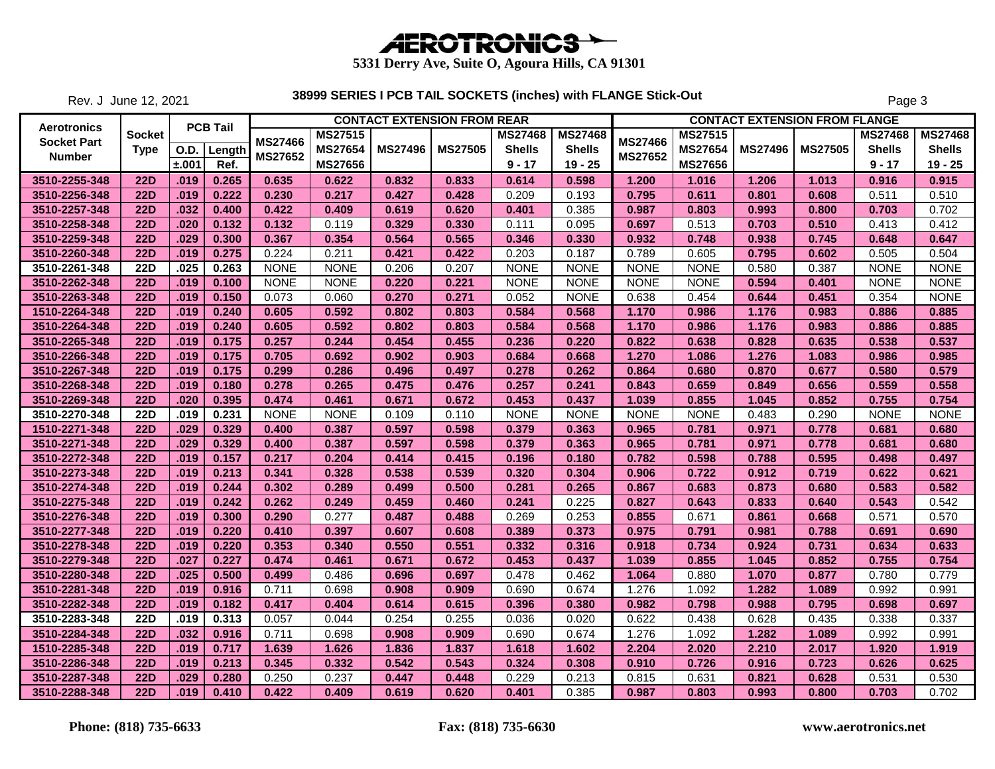

Rev. J June 12, 2021

|                    |               |             |                 |                |                |                | <b>CONTACT EXTENSION FROM REAR</b> |                |                |                |                |                | <b>CONTACT EXTENSION FROM FLANGE</b> |                |                |
|--------------------|---------------|-------------|-----------------|----------------|----------------|----------------|------------------------------------|----------------|----------------|----------------|----------------|----------------|--------------------------------------|----------------|----------------|
| Aerotronics        | <b>Socket</b> |             | <b>PCB Tail</b> |                | <b>MS27515</b> |                |                                    | <b>MS27468</b> | <b>MS27468</b> |                | <b>MS27515</b> |                |                                      | <b>MS27468</b> | <b>MS27468</b> |
| <b>Socket Part</b> | <b>Type</b>   | <b>O.D.</b> | Length          | <b>MS27466</b> | <b>MS27654</b> | <b>MS27496</b> | <b>MS27505</b>                     | <b>Shells</b>  | <b>Shells</b>  | <b>MS27466</b> | <b>MS27654</b> | <b>MS27496</b> | <b>MS27505</b>                       | <b>Shells</b>  | <b>Shells</b>  |
| <b>Number</b>      |               | ±.001       | Ref.            | MS27652        | <b>MS27656</b> |                |                                    | $9 - 17$       | $19 - 25$      | MS27652        | <b>MS27656</b> |                |                                      | $9 - 17$       | $19 - 25$      |
| 3510-2255-348      | <b>22D</b>    | .019        | 0.265           | 0.635          | 0.622          | 0.832          | 0.833                              | 0.614          | 0.598          | 1.200          | 1.016          | 1.206          | 1.013                                | 0.916          | 0.915          |
| 3510-2256-348      | <b>22D</b>    | .019        | 0.222           | 0.230          | 0.217          | 0.427          | 0.428                              | 0.209          | 0.193          | 0.795          | 0.611          | 0.801          | 0.608                                | 0.511          | 0.510          |
| 3510-2257-348      | <b>22D</b>    | .032        | 0.400           | 0.422          | 0.409          | 0.619          | 0.620                              | 0.401          | 0.385          | 0.987          | 0.803          | 0.993          | 0.800                                | 0.703          | 0.702          |
| 3510-2258-348      | <b>22D</b>    | .020        | 0.132           | 0.132          | 0.119          | 0.329          | 0.330                              | 0.111          | 0.095          | 0.697          | 0.513          | 0.703          | 0.510                                | 0.413          | 0.412          |
| 3510-2259-348      | <b>22D</b>    | .029        | 0.300           | 0.367          | 0.354          | 0.564          | 0.565                              | 0.346          | 0.330          | 0.932          | 0.748          | 0.938          | 0.745                                | 0.648          | 0.647          |
| 3510-2260-348      | <b>22D</b>    | .019        | 0.275           | 0.224          | 0.211          | 0.421          | 0.422                              | 0.203          | 0.187          | 0.789          | 0.605          | 0.795          | 0.602                                | 0.505          | 0.504          |
| 3510-2261-348      | <b>22D</b>    | .025        | 0.263           | <b>NONE</b>    | <b>NONE</b>    | 0.206          | 0.207                              | <b>NONE</b>    | <b>NONE</b>    | <b>NONE</b>    | <b>NONE</b>    | 0.580          | 0.387                                | <b>NONE</b>    | <b>NONE</b>    |
| 3510-2262-348      | <b>22D</b>    | .019        | 0.100           | <b>NONE</b>    | <b>NONE</b>    | 0.220          | 0.221                              | <b>NONE</b>    | <b>NONE</b>    | <b>NONE</b>    | <b>NONE</b>    | 0.594          | 0.401                                | <b>NONE</b>    | <b>NONE</b>    |
| 3510-2263-348      | <b>22D</b>    | .019        | 0.150           | 0.073          | 0.060          | 0.270          | 0.271                              | 0.052          | <b>NONE</b>    | 0.638          | 0.454          | 0.644          | 0.451                                | 0.354          | <b>NONE</b>    |
| 1510-2264-348      | <b>22D</b>    | .019        | 0.240           | 0.605          | 0.592          | 0.802          | 0.803                              | 0.584          | 0.568          | 1.170          | 0.986          | 1.176          | 0.983                                | 0.886          | 0.885          |
| 3510-2264-348      | <b>22D</b>    | .019        | 0.240           | 0.605          | 0.592          | 0.802          | 0.803                              | 0.584          | 0.568          | 1.170          | 0.986          | 1.176          | 0.983                                | 0.886          | 0.885          |
| 3510-2265-348      | <b>22D</b>    | .019        | 0.175           | 0.257          | 0.244          | 0.454          | 0.455                              | 0.236          | 0.220          | 0.822          | 0.638          | 0.828          | 0.635                                | 0.538          | 0.537          |
| 3510-2266-348      | <b>22D</b>    | .019        | 0.175           | 0.705          | 0.692          | 0.902          | 0.903                              | 0.684          | 0.668          | 1.270          | 1.086          | 1.276          | 1.083                                | 0.986          | 0.985          |
| 3510-2267-348      | <b>22D</b>    | .019        | 0.175           | 0.299          | 0.286          | 0.496          | 0.497                              | 0.278          | 0.262          | 0.864          | 0.680          | 0.870          | 0.677                                | 0.580          | 0.579          |
| 3510-2268-348      | <b>22D</b>    | .019        | 0.180           | 0.278          | 0.265          | 0.475          | 0.476                              | 0.257          | 0.241          | 0.843          | 0.659          | 0.849          | 0.656                                | 0.559          | 0.558          |
| 3510-2269-348      | <b>22D</b>    | .020        | 0.395           | 0.474          | 0.461          | 0.671          | 0.672                              | 0.453          | 0.437          | 1.039          | 0.855          | 1.045          | 0.852                                | 0.755          | 0.754          |
| 3510-2270-348      | <b>22D</b>    | .019        | 0.231           | <b>NONE</b>    | <b>NONE</b>    | 0.109          | 0.110                              | <b>NONE</b>    | <b>NONE</b>    | <b>NONE</b>    | <b>NONE</b>    | 0.483          | 0.290                                | <b>NONE</b>    | <b>NONE</b>    |
| 1510-2271-348      | <b>22D</b>    | .029        | 0.329           | 0.400          | 0.387          | 0.597          | 0.598                              | 0.379          | 0.363          | 0.965          | 0.781          | 0.971          | 0.778                                | 0.681          | 0.680          |
| 3510-2271-348      | <b>22D</b>    | .029        | 0.329           | 0.400          | 0.387          | 0.597          | 0.598                              | 0.379          | 0.363          | 0.965          | 0.781          | 0.971          | 0.778                                | 0.681          | 0.680          |
| 3510-2272-348      | <b>22D</b>    | .019        | 0.157           | 0.217          | 0.204          | 0.414          | 0.415                              | 0.196          | 0.180          | 0.782          | 0.598          | 0.788          | 0.595                                | 0.498          | 0.497          |
| 3510-2273-348      | <b>22D</b>    | .019        | 0.213           | 0.341          | 0.328          | 0.538          | 0.539                              | 0.320          | 0.304          | 0.906          | 0.722          | 0.912          | 0.719                                | 0.622          | 0.621          |
| 3510-2274-348      | <b>22D</b>    | .019        | 0.244           | 0.302          | 0.289          | 0.499          | 0.500                              | 0.281          | 0.265          | 0.867          | 0.683          | 0.873          | 0.680                                | 0.583          | 0.582          |
| 3510-2275-348      | <b>22D</b>    | .019        | 0.242           | 0.262          | 0.249          | 0.459          | 0.460                              | 0.241          | 0.225          | 0.827          | 0.643          | 0.833          | 0.640                                | 0.543          | 0.542          |
| 3510-2276-348      | <b>22D</b>    | .019        | 0.300           | 0.290          | 0.277          | 0.487          | 0.488                              | 0.269          | 0.253          | 0.855          | 0.671          | 0.861          | 0.668                                | 0.571          | 0.570          |
| 3510-2277-348      | <b>22D</b>    | .019        | 0.220           | 0.410          | 0.397          | 0.607          | 0.608                              | 0.389          | 0.373          | 0.975          | 0.791          | 0.981          | 0.788                                | 0.691          | 0.690          |
| 3510-2278-348      | <b>22D</b>    | .019        | 0.220           | 0.353          | 0.340          | 0.550          | 0.551                              | 0.332          | 0.316          | 0.918          | 0.734          | 0.924          | 0.731                                | 0.634          | 0.633          |
| 3510-2279-348      | <b>22D</b>    | .027        | 0.227           | 0.474          | 0.461          | 0.671          | 0.672                              | 0.453          | 0.437          | 1.039          | 0.855          | 1.045          | 0.852                                | 0.755          | 0.754          |
| 3510-2280-348      | <b>22D</b>    | .025        | 0.500           | 0.499          | 0.486          | 0.696          | 0.697                              | 0.478          | 0.462          | 1.064          | 0.880          | 1.070          | 0.877                                | 0.780          | 0.779          |
| 3510-2281-348      | <b>22D</b>    | .019        | 0.916           | 0.711          | 0.698          | 0.908          | 0.909                              | 0.690          | 0.674          | 1.276          | 1.092          | 1.282          | 1.089                                | 0.992          | 0.991          |
| 3510-2282-348      | <b>22D</b>    | .019        | 0.182           | 0.417          | 0.404          | 0.614          | 0.615                              | 0.396          | 0.380          | 0.982          | 0.798          | 0.988          | 0.795                                | 0.698          | 0.697          |
| 3510-2283-348      | <b>22D</b>    | .019        | 0.313           | 0.057          | 0.044          | 0.254          | 0.255                              | 0.036          | 0.020          | 0.622          | 0.438          | 0.628          | 0.435                                | 0.338          | 0.337          |
| 3510-2284-348      | <b>22D</b>    | .032        | 0.916           | 0.711          | 0.698          | 0.908          | 0.909                              | 0.690          | 0.674          | 1.276          | 1.092          | 1.282          | 1.089                                | 0.992          | 0.991          |
| 1510-2285-348      | <b>22D</b>    | .019        | 0.717           | 1.639          | 1.626          | 1.836          | 1.837                              | 1.618          | 1.602          | 2.204          | 2.020          | 2.210          | 2.017                                | 1.920          | 1.919          |
| 3510-2286-348      | <b>22D</b>    | .019        | 0.213           | 0.345          | 0.332          | 0.542          | 0.543                              | 0.324          | 0.308          | 0.910          | 0.726          | 0.916          | 0.723                                | 0.626          | 0.625          |
| 3510-2287-348      | <b>22D</b>    | .029        | 0.280           | 0.250          | 0.237          | 0.447          | 0.448                              | 0.229          | 0.213          | 0.815          | 0.631          | 0.821          | 0.628                                | 0.531          | 0.530          |
| 3510-2288-348      | <b>22D</b>    | .019        | 0.410           | 0.422          | 0.409          | 0.619          | 0.620                              | 0.401          | 0.385          | 0.987          | 0.803          | 0.993          | 0.800                                | 0.703          | 0.702          |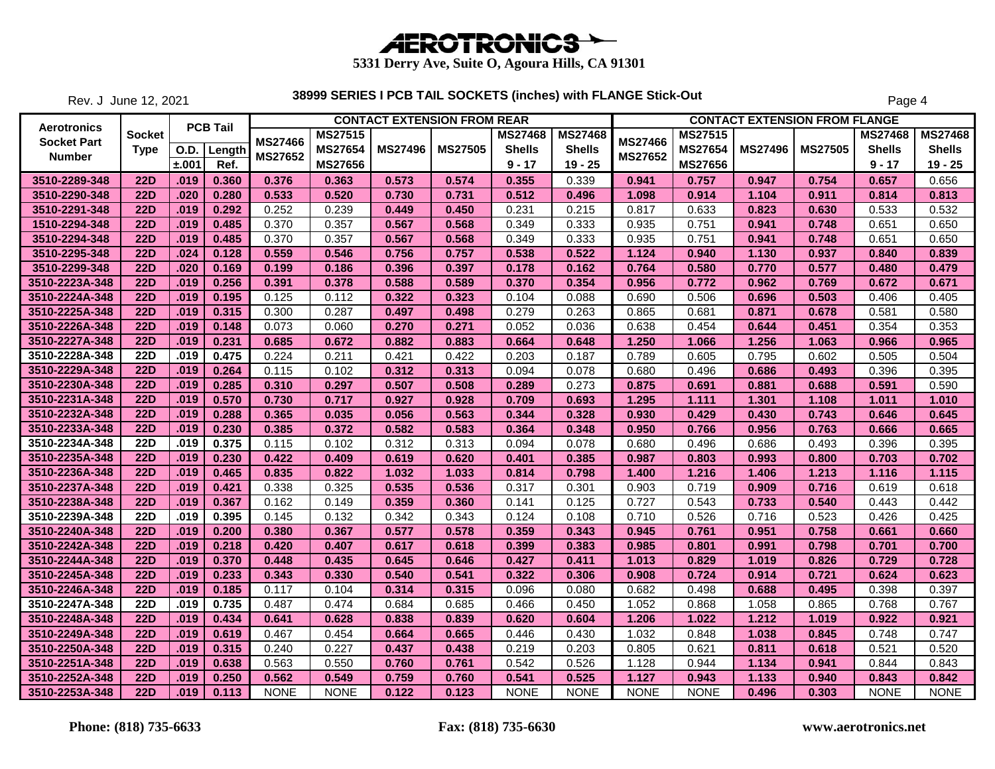

Rev. J June 12, 2021

|                    |               |             |                 |                |                |                | <b>CONTACT EXTENSION FROM REAR</b> |                |                |                |                |                | <b>CONTACT EXTENSION FROM FLANGE</b> |                |                |
|--------------------|---------------|-------------|-----------------|----------------|----------------|----------------|------------------------------------|----------------|----------------|----------------|----------------|----------------|--------------------------------------|----------------|----------------|
| Aerotronics        | <b>Socket</b> |             | <b>PCB Tail</b> |                | <b>MS27515</b> |                |                                    | <b>MS27468</b> | <b>MS27468</b> |                | <b>MS27515</b> |                |                                      | <b>MS27468</b> | <b>MS27468</b> |
| <b>Socket Part</b> | <b>Type</b>   | <b>O.D.</b> | Length          | MS27466        | <b>MS27654</b> | <b>MS27496</b> | <b>MS27505</b>                     | <b>Shells</b>  | <b>Shells</b>  | <b>MS27466</b> | <b>MS27654</b> | <b>MS27496</b> | <b>MS27505</b>                       | <b>Shells</b>  | <b>Shells</b>  |
| <b>Number</b>      |               | ±.001       | Ref.            | <b>MS27652</b> | <b>MS27656</b> |                |                                    | $9 - 17$       | $19 - 25$      | MS27652        | <b>MS27656</b> |                |                                      | $9 - 17$       | $19 - 25$      |
| 3510-2289-348      | <b>22D</b>    | .019        | 0.360           | 0.376          | 0.363          | 0.573          | 0.574                              | 0.355          | 0.339          | 0.941          | 0.757          | 0.947          | 0.754                                | 0.657          | 0.656          |
| 3510-2290-348      | <b>22D</b>    | .020        | 0.280           | 0.533          | 0.520          | 0.730          | 0.731                              | 0.512          | 0.496          | 1.098          | 0.914          | 1.104          | 0.911                                | 0.814          | 0.813          |
| 3510-2291-348      | <b>22D</b>    | .019        | 0.292           | 0.252          | 0.239          | 0.449          | 0.450                              | 0.231          | 0.215          | 0.817          | 0.633          | 0.823          | 0.630                                | 0.533          | 0.532          |
| 1510-2294-348      | <b>22D</b>    | .019        | 0.485           | 0.370          | 0.357          | 0.567          | 0.568                              | 0.349          | 0.333          | 0.935          | 0.751          | 0.941          | 0.748                                | 0.651          | 0.650          |
| 3510-2294-348      | <b>22D</b>    | .019        | 0.485           | 0.370          | 0.357          | 0.567          | 0.568                              | 0.349          | 0.333          | 0.935          | 0.751          | 0.941          | 0.748                                | 0.651          | 0.650          |
| 3510-2295-348      | <b>22D</b>    | .024        | 0.128           | 0.559          | 0.546          | 0.756          | 0.757                              | 0.538          | 0.522          | 1.124          | 0.940          | 1.130          | 0.937                                | 0.840          | 0.839          |
| 3510-2299-348      | <b>22D</b>    | .020        | 0.169           | 0.199          | 0.186          | 0.396          | 0.397                              | 0.178          | 0.162          | 0.764          | 0.580          | 0.770          | 0.577                                | 0.480          | 0.479          |
| 3510-2223A-348     | <b>22D</b>    | .019        | 0.256           | 0.391          | 0.378          | 0.588          | 0.589                              | 0.370          | 0.354          | 0.956          | 0.772          | 0.962          | 0.769                                | 0.672          | 0.671          |
| 3510-2224A-348     | <b>22D</b>    | .019        | 0.195           | 0.125          | 0.112          | 0.322          | 0.323                              | 0.104          | 0.088          | 0.690          | 0.506          | 0.696          | 0.503                                | 0.406          | 0.405          |
| 3510-2225A-348     | <b>22D</b>    | .019        | 0.315           | 0.300          | 0.287          | 0.497          | 0.498                              | 0.279          | 0.263          | 0.865          | 0.681          | 0.871          | 0.678                                | 0.581          | 0.580          |
| 3510-2226A-348     | <b>22D</b>    | .019        | 0.148           | 0.073          | 0.060          | 0.270          | 0.271                              | 0.052          | 0.036          | 0.638          | 0.454          | 0.644          | 0.451                                | 0.354          | 0.353          |
| 3510-2227A-348     | <b>22D</b>    | .019        | 0.231           | 0.685          | 0.672          | 0.882          | 0.883                              | 0.664          | 0.648          | 1.250          | 1.066          | 1.256          | 1.063                                | 0.966          | 0.965          |
| 3510-2228A-348     | <b>22D</b>    | .019        | 0.475           | 0.224          | 0.211          | 0.421          | 0.422                              | 0.203          | 0.187          | 0.789          | 0.605          | 0.795          | 0.602                                | 0.505          | 0.504          |
| 3510-2229A-348     | <b>22D</b>    | .019        | 0.264           | 0.115          | 0.102          | 0.312          | 0.313                              | 0.094          | 0.078          | 0.680          | 0.496          | 0.686          | 0.493                                | 0.396          | 0.395          |
| 3510-2230A-348     | <b>22D</b>    | .019        | 0.285           | 0.310          | 0.297          | 0.507          | 0.508                              | 0.289          | 0.273          | 0.875          | 0.691          | 0.881          | 0.688                                | 0.591          | 0.590          |
| 3510-2231A-348     | <b>22D</b>    | .019        | 0.570           | 0.730          | 0.717          | 0.927          | 0.928                              | 0.709          | 0.693          | 1.295          | 1.111          | 1.301          | 1.108                                | 1.011          | 1.010          |
| 3510-2232A-348     | <b>22D</b>    | .019        | 0.288           | 0.365          | 0.035          | 0.056          | 0.563                              | 0.344          | 0.328          | 0.930          | 0.429          | 0.430          | 0.743                                | 0.646          | 0.645          |
| 3510-2233A-348     | <b>22D</b>    | .019        | 0.230           | 0.385          | 0.372          | 0.582          | 0.583                              | 0.364          | 0.348          | 0.950          | 0.766          | 0.956          | 0.763                                | 0.666          | 0.665          |
| 3510-2234A-348     | <b>22D</b>    | .019        | 0.375           | 0.115          | 0.102          | 0.312          | 0.313                              | 0.094          | 0.078          | 0.680          | 0.496          | 0.686          | 0.493                                | 0.396          | 0.395          |
| 3510-2235A-348     | <b>22D</b>    | .019        | 0.230           | 0.422          | 0.409          | 0.619          | 0.620                              | 0.401          | 0.385          | 0.987          | 0.803          | 0.993          | 0.800                                | 0.703          | 0.702          |
| 3510-2236A-348     | <b>22D</b>    | .019        | 0.465           | 0.835          | 0.822          | 1.032          | 1.033                              | 0.814          | 0.798          | 1.400          | 1.216          | 1.406          | 1.213                                | 1.116          | 1.115          |
| 3510-2237A-348     | <b>22D</b>    | .019        | 0.421           | 0.338          | 0.325          | 0.535          | 0.536                              | 0.317          | 0.301          | 0.903          | 0.719          | 0.909          | 0.716                                | 0.619          | 0.618          |
| 3510-2238A-348     | <b>22D</b>    | .019        | 0.367           | 0.162          | 0.149          | 0.359          | 0.360                              | 0.141          | 0.125          | 0.727          | 0.543          | 0.733          | 0.540                                | 0.443          | 0.442          |
| 3510-2239A-348     | <b>22D</b>    | .019        | 0.395           | 0.145          | 0.132          | 0.342          | 0.343                              | 0.124          | 0.108          | 0.710          | 0.526          | 0.716          | 0.523                                | 0.426          | 0.425          |
| 3510-2240A-348     | <b>22D</b>    | .019        | 0.200           | 0.380          | 0.367          | 0.577          | 0.578                              | 0.359          | 0.343          | 0.945          | 0.761          | 0.951          | 0.758                                | 0.661          | 0.660          |
| 3510-2242A-348     | <b>22D</b>    | .019        | 0.218           | 0.420          | 0.407          | 0.617          | 0.618                              | 0.399          | 0.383          | 0.985          | 0.801          | 0.991          | 0.798                                | 0.701          | 0.700          |
| 3510-2244A-348     | <b>22D</b>    | .019        | 0.370           | 0.448          | 0.435          | 0.645          | 0.646                              | 0.427          | 0.411          | 1.013          | 0.829          | 1.019          | 0.826                                | 0.729          | 0.728          |
| 3510-2245A-348     | <b>22D</b>    | .019        | 0.233           | 0.343          | 0.330          | 0.540          | 0.541                              | 0.322          | 0.306          | 0.908          | 0.724          | 0.914          | 0.721                                | 0.624          | 0.623          |
| 3510-2246A-348     | <b>22D</b>    | .019        | 0.185           | 0.117          | 0.104          | 0.314          | 0.315                              | 0.096          | 0.080          | 0.682          | 0.498          | 0.688          | 0.495                                | 0.398          | 0.397          |
| 3510-2247A-348     | <b>22D</b>    | .019        | 0.735           | 0.487          | 0.474          | 0.684          | 0.685                              | 0.466          | 0.450          | 1.052          | 0.868          | 1.058          | 0.865                                | 0.768          | 0.767          |
| 3510-2248A-348     | <b>22D</b>    | .019        | 0.434           | 0.641          | 0.628          | 0.838          | 0.839                              | 0.620          | 0.604          | 1.206          | 1.022          | 1.212          | 1.019                                | 0.922          | 0.921          |
| 3510-2249A-348     | <b>22D</b>    | .019        | 0.619           | 0.467          | 0.454          | 0.664          | 0.665                              | 0.446          | 0.430          | 1.032          | 0.848          | 1.038          | 0.845                                | 0.748          | 0.747          |
| 3510-2250A-348     | <b>22D</b>    | .019        | 0.315           | 0.240          | 0.227          | 0.437          | 0.438                              | 0.219          | 0.203          | 0.805          | 0.621          | 0.811          | 0.618                                | 0.521          | 0.520          |
| 3510-2251A-348     | <b>22D</b>    | .019        | 0.638           | 0.563          | 0.550          | 0.760          | 0.761                              | 0.542          | 0.526          | 1.128          | 0.944          | 1.134          | 0.941                                | 0.844          | 0.843          |
| 3510-2252A-348     | <b>22D</b>    | .019        | 0.250           | 0.562          | 0.549          | 0.759          | 0.760                              | 0.541          | 0.525          | 1.127          | 0.943          | 1.133          | 0.940                                | 0.843          | 0.842          |
| 3510-2253A-348     | <b>22D</b>    | .019        | 0.113           | <b>NONE</b>    | <b>NONE</b>    | 0.122          | 0.123                              | <b>NONE</b>    | <b>NONE</b>    | <b>NONE</b>    | <b>NONE</b>    | 0.496          | 0.303                                | <b>NONE</b>    | <b>NONE</b>    |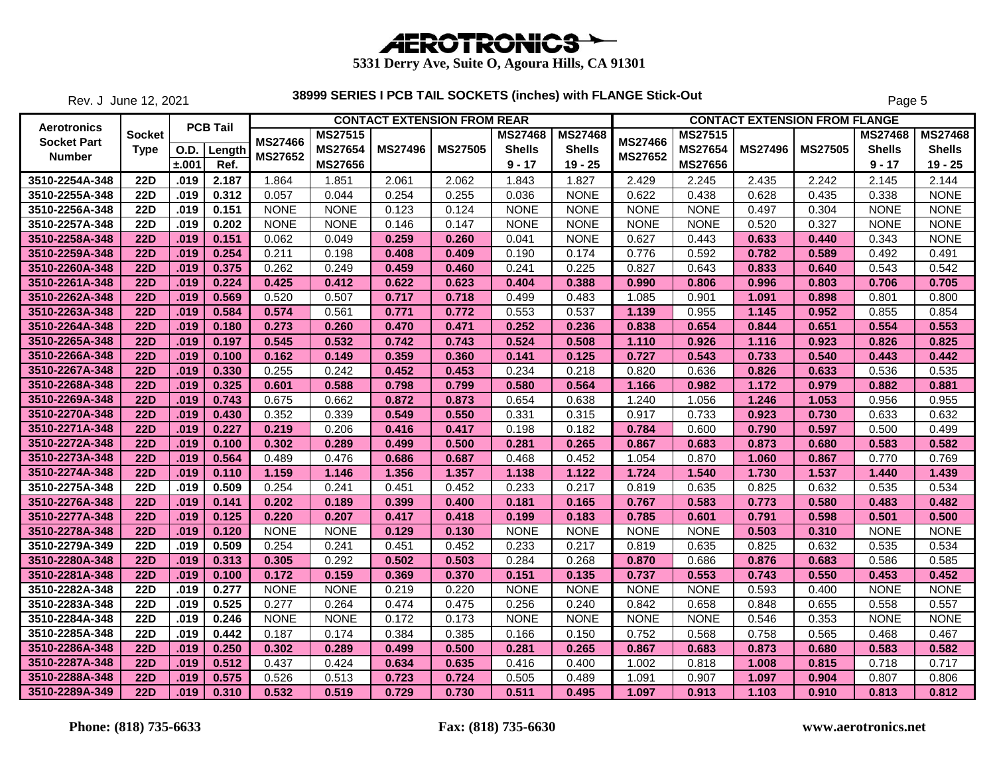

Rev. J June 12, 2021

|                    |               |             |                 |                |                |                | <b>CONTACT EXTENSION FROM REAR</b> |                |                |                |                |                | <b>CONTACT EXTENSION FROM FLANGE</b> |                |                |
|--------------------|---------------|-------------|-----------------|----------------|----------------|----------------|------------------------------------|----------------|----------------|----------------|----------------|----------------|--------------------------------------|----------------|----------------|
| Aerotronics        | <b>Socket</b> |             | <b>PCB Tail</b> |                | <b>MS27515</b> |                |                                    | <b>MS27468</b> | <b>MS27468</b> |                | <b>MS27515</b> |                |                                      | <b>MS27468</b> | <b>MS27468</b> |
| <b>Socket Part</b> | <b>Type</b>   | <b>O.D.</b> | Length          | MS27466        | <b>MS27654</b> | <b>MS27496</b> | <b>MS27505</b>                     | <b>Shells</b>  | <b>Shells</b>  | <b>MS27466</b> | <b>MS27654</b> | <b>MS27496</b> | <b>MS27505</b>                       | <b>Shells</b>  | <b>Shells</b>  |
| <b>Number</b>      |               | ±.001       | Ref.            | <b>MS27652</b> | <b>MS27656</b> |                |                                    | $9 - 17$       | $19 - 25$      | MS27652        | <b>MS27656</b> |                |                                      | $9 - 17$       | $19 - 25$      |
| 3510-2254A-348     | <b>22D</b>    | .019        | 2.187           | 1.864          | 1.851          | 2.061          | 2.062                              | 1.843          | 1.827          | 2.429          | 2.245          | 2.435          | 2.242                                | 2.145          | 2.144          |
| 3510-2255A-348     | <b>22D</b>    | .019        | 0.312           | 0.057          | 0.044          | 0.254          | 0.255                              | 0.036          | <b>NONE</b>    | 0.622          | 0.438          | 0.628          | 0.435                                | 0.338          | <b>NONE</b>    |
| 3510-2256A-348     | <b>22D</b>    | .019        | 0.151           | <b>NONE</b>    | <b>NONE</b>    | 0.123          | 0.124                              | <b>NONE</b>    | <b>NONE</b>    | <b>NONE</b>    | <b>NONE</b>    | 0.497          | 0.304                                | <b>NONE</b>    | <b>NONE</b>    |
| 3510-2257A-348     | <b>22D</b>    | .019        | 0.202           | <b>NONE</b>    | <b>NONE</b>    | 0.146          | 0.147                              | <b>NONE</b>    | <b>NONE</b>    | <b>NONE</b>    | <b>NONE</b>    | 0.520          | 0.327                                | <b>NONE</b>    | <b>NONE</b>    |
| 3510-2258A-348     | <b>22D</b>    | .019        | 0.151           | 0.062          | 0.049          | 0.259          | 0.260                              | 0.041          | <b>NONE</b>    | 0.627          | 0.443          | 0.633          | 0.440                                | 0.343          | <b>NONE</b>    |
| 3510-2259A-348     | <b>22D</b>    | .019        | 0.254           | 0.211          | 0.198          | 0.408          | 0.409                              | 0.190          | 0.174          | 0.776          | 0.592          | 0.782          | 0.589                                | 0.492          | 0.491          |
| 3510-2260A-348     | <b>22D</b>    | .019        | 0.375           | 0.262          | 0.249          | 0.459          | 0.460                              | 0.241          | 0.225          | 0.827          | 0.643          | 0.833          | 0.640                                | 0.543          | 0.542          |
| 3510-2261A-348     | <b>22D</b>    | .019        | 0.224           | 0.425          | 0.412          | 0.622          | 0.623                              | 0.404          | 0.388          | 0.990          | 0.806          | 0.996          | 0.803                                | 0.706          | 0.705          |
| 3510-2262A-348     | <b>22D</b>    | .019        | 0.569           | 0.520          | 0.507          | 0.717          | 0.718                              | 0.499          | 0.483          | 1.085          | 0.901          | 1.091          | 0.898                                | 0.801          | 0.800          |
| 3510-2263A-348     | <b>22D</b>    | .019        | 0.584           | 0.574          | 0.561          | 0.771          | 0.772                              | 0.553          | 0.537          | 1.139          | 0.955          | 1.145          | 0.952                                | 0.855          | 0.854          |
| 3510-2264A-348     | <b>22D</b>    | .019        | 0.180           | 0.273          | 0.260          | 0.470          | 0.471                              | 0.252          | 0.236          | 0.838          | 0.654          | 0.844          | 0.651                                | 0.554          | 0.553          |
| 3510-2265A-348     | <b>22D</b>    | .019        | 0.197           | 0.545          | 0.532          | 0.742          | 0.743                              | 0.524          | 0.508          | 1.110          | 0.926          | 1.116          | 0.923                                | 0.826          | 0.825          |
| 3510-2266A-348     | <b>22D</b>    | .019        | 0.100           | 0.162          | 0.149          | 0.359          | 0.360                              | 0.141          | 0.125          | 0.727          | 0.543          | 0.733          | 0.540                                | 0.443          | 0.442          |
| 3510-2267A-348     | <b>22D</b>    | .019        | 0.330           | 0.255          | 0.242          | 0.452          | 0.453                              | 0.234          | 0.218          | 0.820          | 0.636          | 0.826          | 0.633                                | 0.536          | 0.535          |
| 3510-2268A-348     | <b>22D</b>    | .019        | 0.325           | 0.601          | 0.588          | 0.798          | 0.799                              | 0.580          | 0.564          | 1.166          | 0.982          | 1.172          | 0.979                                | 0.882          | 0.881          |
| 3510-2269A-348     | <b>22D</b>    | .019        | 0.743           | 0.675          | 0.662          | 0.872          | 0.873                              | 0.654          | 0.638          | 1.240          | 1.056          | 1.246          | 1.053                                | 0.956          | 0.955          |
| 3510-2270A-348     | <b>22D</b>    | .019        | 0.430           | 0.352          | 0.339          | 0.549          | 0.550                              | 0.331          | 0.315          | 0.917          | 0.733          | 0.923          | 0.730                                | 0.633          | 0.632          |
| 3510-2271A-348     | <b>22D</b>    | .019        | 0.227           | 0.219          | 0.206          | 0.416          | 0.417                              | 0.198          | 0.182          | 0.784          | 0.600          | 0.790          | 0.597                                | 0.500          | 0.499          |
| 3510-2272A-348     | <b>22D</b>    | .019        | 0.100           | 0.302          | 0.289          | 0.499          | 0.500                              | 0.281          | 0.265          | 0.867          | 0.683          | 0.873          | 0.680                                | 0.583          | 0.582          |
| 3510-2273A-348     | <b>22D</b>    | .019        | 0.564           | 0.489          | 0.476          | 0.686          | 0.687                              | 0.468          | 0.452          | 1.054          | 0.870          | 1.060          | 0.867                                | 0.770          | 0.769          |
| 3510-2274A-348     | <b>22D</b>    | .019        | 0.110           | 1.159          | 1.146          | 1.356          | 1.357                              | 1.138          | 1.122          | 1.724          | 1.540          | 1.730          | 1.537                                | 1.440          | 1.439          |
| 3510-2275A-348     | <b>22D</b>    | .019        | 0.509           | 0.254          | 0.241          | 0.451          | 0.452                              | 0.233          | 0.217          | 0.819          | 0.635          | 0.825          | 0.632                                | 0.535          | 0.534          |
| 3510-2276A-348     | <b>22D</b>    | .019        | 0.141           | 0.202          | 0.189          | 0.399          | 0.400                              | 0.181          | 0.165          | 0.767          | 0.583          | 0.773          | 0.580                                | 0.483          | 0.482          |
| 3510-2277A-348     | <b>22D</b>    | .019        | 0.125           | 0.220          | 0.207          | 0.417          | 0.418                              | 0.199          | 0.183          | 0.785          | 0.601          | 0.791          | 0.598                                | 0.501          | 0.500          |
| 3510-2278A-348     | <b>22D</b>    | .019        | 0.120           | <b>NONE</b>    | <b>NONE</b>    | 0.129          | 0.130                              | <b>NONE</b>    | <b>NONE</b>    | <b>NONE</b>    | <b>NONE</b>    | 0.503          | 0.310                                | <b>NONE</b>    | <b>NONE</b>    |
| 3510-2279A-349     | <b>22D</b>    | .019        | 0.509           | 0.254          | 0.241          | 0.451          | 0.452                              | 0.233          | 0.217          | 0.819          | 0.635          | 0.825          | 0.632                                | 0.535          | 0.534          |
| 3510-2280A-348     | <b>22D</b>    | .019        | 0.313           | 0.305          | 0.292          | 0.502          | 0.503                              | 0.284          | 0.268          | 0.870          | 0.686          | 0.876          | 0.683                                | 0.586          | 0.585          |
| 3510-2281A-348     | <b>22D</b>    | .019        | 0.100           | 0.172          | 0.159          | 0.369          | 0.370                              | 0.151          | 0.135          | 0.737          | 0.553          | 0.743          | 0.550                                | 0.453          | 0.452          |
| 3510-2282A-348     | 22D           | .019        | 0.277           | <b>NONE</b>    | <b>NONE</b>    | 0.219          | 0.220                              | <b>NONE</b>    | <b>NONE</b>    | <b>NONE</b>    | <b>NONE</b>    | 0.593          | 0.400                                | <b>NONE</b>    | <b>NONE</b>    |
| 3510-2283A-348     | <b>22D</b>    | .019        | 0.525           | 0.277          | 0.264          | 0.474          | 0.475                              | 0.256          | 0.240          | 0.842          | 0.658          | 0.848          | 0.655                                | 0.558          | 0.557          |
| 3510-2284A-348     | <b>22D</b>    | .019        | 0.246           | <b>NONE</b>    | <b>NONE</b>    | 0.172          | 0.173                              | <b>NONE</b>    | <b>NONE</b>    | <b>NONE</b>    | <b>NONE</b>    | 0.546          | 0.353                                | <b>NONE</b>    | <b>NONE</b>    |
| 3510-2285A-348     | <b>22D</b>    | .019        | 0.442           | 0.187          | 0.174          | 0.384          | 0.385                              | 0.166          | 0.150          | 0.752          | 0.568          | 0.758          | 0.565                                | 0.468          | 0.467          |
| 3510-2286A-348     | <b>22D</b>    | .019        | 0.250           | 0.302          | 0.289          | 0.499          | 0.500                              | 0.281          | 0.265          | 0.867          | 0.683          | 0.873          | 0.680                                | 0.583          | 0.582          |
| 3510-2287A-348     | <b>22D</b>    | .019        | 0.512           | 0.437          | 0.424          | 0.634          | 0.635                              | 0.416          | 0.400          | 1.002          | 0.818          | 1.008          | 0.815                                | 0.718          | 0.717          |
| 3510-2288A-348     | <b>22D</b>    | .019        | 0.575           | 0.526          | 0.513          | 0.723          | 0.724                              | 0.505          | 0.489          | 1.091          | 0.907          | 1.097          | 0.904                                | 0.807          | 0.806          |
| 3510-2289A-349     | <b>22D</b>    | .019        | 0.310           | 0.532          | 0.519          | 0.729          | 0.730                              | 0.511          | 0.495          | 1.097          | 0.913          | 1.103          | 0.910                                | 0.813          | 0.812          |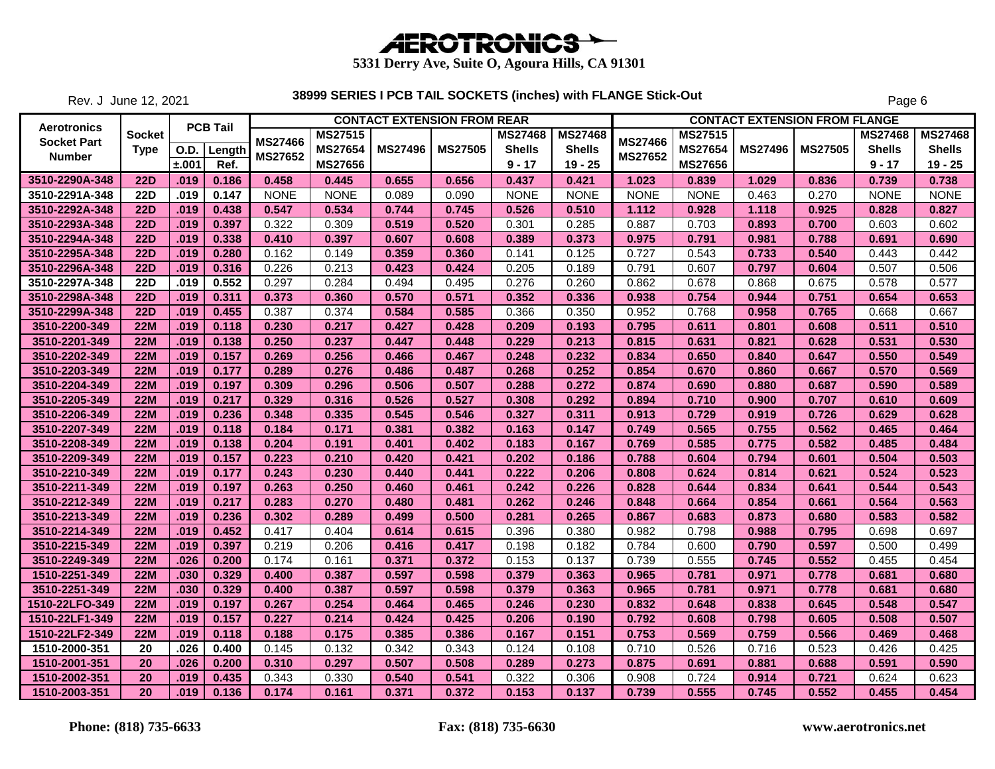

Rev. J June 12, 2021

|                    |               |             |                 |             |                |                | <b>CONTACT EXTENSION FROM REAR</b> |                |                |                |                |                | <b>CONTACT EXTENSION FROM FLANGE</b> |                |                |
|--------------------|---------------|-------------|-----------------|-------------|----------------|----------------|------------------------------------|----------------|----------------|----------------|----------------|----------------|--------------------------------------|----------------|----------------|
| Aerotronics        | <b>Socket</b> |             | <b>PCB Tail</b> |             | <b>MS27515</b> |                |                                    | <b>MS27468</b> | <b>MS27468</b> |                | <b>MS27515</b> |                |                                      | <b>MS27468</b> | <b>MS27468</b> |
| <b>Socket Part</b> | <b>Type</b>   | <b>O.D.</b> | Length          | MS27466     | <b>MS27654</b> | <b>MS27496</b> | <b>MS27505</b>                     | <b>Shells</b>  | <b>Shells</b>  | <b>MS27466</b> | <b>MS27654</b> | <b>MS27496</b> | <b>MS27505</b>                       | <b>Shells</b>  | <b>Shells</b>  |
| <b>Number</b>      |               | ±.001       | Ref.            | MS27652     | <b>MS27656</b> |                |                                    | $9 - 17$       | $19 - 25$      | MS27652        | <b>MS27656</b> |                |                                      | $9 - 17$       | $19 - 25$      |
| 3510-2290A-348     | <b>22D</b>    | .019        | 0.186           | 0.458       | 0.445          | 0.655          | 0.656                              | 0.437          | 0.421          | 1.023          | 0.839          | 1.029          | 0.836                                | 0.739          | 0.738          |
| 3510-2291A-348     | <b>22D</b>    | .019        | 0.147           | <b>NONE</b> | <b>NONE</b>    | 0.089          | 0.090                              | <b>NONE</b>    | <b>NONE</b>    | <b>NONE</b>    | <b>NONE</b>    | 0.463          | 0.270                                | <b>NONE</b>    | <b>NONE</b>    |
| 3510-2292A-348     | <b>22D</b>    | .019        | 0.438           | 0.547       | 0.534          | 0.744          | 0.745                              | 0.526          | 0.510          | 1.112          | 0.928          | 1.118          | 0.925                                | 0.828          | 0.827          |
| 3510-2293A-348     | <b>22D</b>    | .019        | 0.397           | 0.322       | 0.309          | 0.519          | 0.520                              | 0.301          | 0.285          | 0.887          | 0.703          | 0.893          | 0.700                                | 0.603          | 0.602          |
| 3510-2294A-348     | <b>22D</b>    | .019        | 0.338           | 0.410       | 0.397          | 0.607          | 0.608                              | 0.389          | 0.373          | 0.975          | 0.791          | 0.981          | 0.788                                | 0.691          | 0.690          |
| 3510-2295A-348     | <b>22D</b>    | .019        | 0.280           | 0.162       | 0.149          | 0.359          | 0.360                              | 0.141          | 0.125          | 0.727          | 0.543          | 0.733          | 0.540                                | 0.443          | 0.442          |
| 3510-2296A-348     | <b>22D</b>    | .019        | 0.316           | 0.226       | 0.213          | 0.423          | 0.424                              | 0.205          | 0.189          | 0.791          | 0.607          | 0.797          | 0.604                                | 0.507          | 0.506          |
| 3510-2297A-348     | <b>22D</b>    | .019        | 0.552           | 0.297       | 0.284          | 0.494          | 0.495                              | 0.276          | 0.260          | 0.862          | 0.678          | 0.868          | 0.675                                | 0.578          | 0.577          |
| 3510-2298A-348     | <b>22D</b>    | .019        | 0.311           | 0.373       | 0.360          | 0.570          | 0.571                              | 0.352          | 0.336          | 0.938          | 0.754          | 0.944          | 0.751                                | 0.654          | 0.653          |
| 3510-2299A-348     | <b>22D</b>    | .019        | 0.455           | 0.387       | 0.374          | 0.584          | 0.585                              | 0.366          | 0.350          | 0.952          | 0.768          | 0.958          | 0.765                                | 0.668          | 0.667          |
| 3510-2200-349      | <b>22M</b>    | .019        | 0.118           | 0.230       | 0.217          | 0.427          | 0.428                              | 0.209          | 0.193          | 0.795          | 0.611          | 0.801          | 0.608                                | 0.511          | 0.510          |
| 3510-2201-349      | <b>22M</b>    | .019        | 0.138           | 0.250       | 0.237          | 0.447          | 0.448                              | 0.229          | 0.213          | 0.815          | 0.631          | 0.821          | 0.628                                | 0.531          | 0.530          |
| 3510-2202-349      | <b>22M</b>    | .019        | 0.157           | 0.269       | 0.256          | 0.466          | 0.467                              | 0.248          | 0.232          | 0.834          | 0.650          | 0.840          | 0.647                                | 0.550          | 0.549          |
| 3510-2203-349      | <b>22M</b>    | .019        | 0.177           | 0.289       | 0.276          | 0.486          | 0.487                              | 0.268          | 0.252          | 0.854          | 0.670          | 0.860          | 0.667                                | 0.570          | 0.569          |
| 3510-2204-349      | <b>22M</b>    | .019        | 0.197           | 0.309       | 0.296          | 0.506          | 0.507                              | 0.288          | 0.272          | 0.874          | 0.690          | 0.880          | 0.687                                | 0.590          | 0.589          |
| 3510-2205-349      | <b>22M</b>    | .019        | 0.217           | 0.329       | 0.316          | 0.526          | 0.527                              | 0.308          | 0.292          | 0.894          | 0.710          | 0.900          | 0.707                                | 0.610          | 0.609          |
| 3510-2206-349      | <b>22M</b>    | .019        | 0.236           | 0.348       | 0.335          | 0.545          | 0.546                              | 0.327          | 0.311          | 0.913          | 0.729          | 0.919          | 0.726                                | 0.629          | 0.628          |
| 3510-2207-349      | <b>22M</b>    | .019        | 0.118           | 0.184       | 0.171          | 0.381          | 0.382                              | 0.163          | 0.147          | 0.749          | 0.565          | 0.755          | 0.562                                | 0.465          | 0.464          |
| 3510-2208-349      | <b>22M</b>    | .019        | 0.138           | 0.204       | 0.191          | 0.401          | 0.402                              | 0.183          | 0.167          | 0.769          | 0.585          | 0.775          | 0.582                                | 0.485          | 0.484          |
| 3510-2209-349      | <b>22M</b>    | .019        | 0.157           | 0.223       | 0.210          | 0.420          | 0.421                              | 0.202          | 0.186          | 0.788          | 0.604          | 0.794          | 0.601                                | 0.504          | 0.503          |
| 3510-2210-349      | <b>22M</b>    | .019        | 0.177           | 0.243       | 0.230          | 0.440          | 0.441                              | 0.222          | 0.206          | 0.808          | 0.624          | 0.814          | 0.621                                | 0.524          | 0.523          |
| 3510-2211-349      | <b>22M</b>    | .019        | 0.197           | 0.263       | 0.250          | 0.460          | 0.461                              | 0.242          | 0.226          | 0.828          | 0.644          | 0.834          | 0.641                                | 0.544          | 0.543          |
| 3510-2212-349      | <b>22M</b>    | .019        | 0.217           | 0.283       | 0.270          | 0.480          | 0.481                              | 0.262          | 0.246          | 0.848          | 0.664          | 0.854          | 0.661                                | 0.564          | 0.563          |
| 3510-2213-349      | <b>22M</b>    | .019        | 0.236           | 0.302       | 0.289          | 0.499          | 0.500                              | 0.281          | 0.265          | 0.867          | 0.683          | 0.873          | 0.680                                | 0.583          | 0.582          |
| 3510-2214-349      | <b>22M</b>    | .019        | 0.452           | 0.417       | 0.404          | 0.614          | 0.615                              | 0.396          | 0.380          | 0.982          | 0.798          | 0.988          | 0.795                                | 0.698          | 0.697          |
| 3510-2215-349      | <b>22M</b>    | .019        | 0.397           | 0.219       | 0.206          | 0.416          | 0.417                              | 0.198          | 0.182          | 0.784          | 0.600          | 0.790          | 0.597                                | 0.500          | 0.499          |
| 3510-2249-349      | <b>22M</b>    | .026        | 0.200           | 0.174       | 0.161          | 0.371          | 0.372                              | 0.153          | 0.137          | 0.739          | 0.555          | 0.745          | 0.552                                | 0.455          | 0.454          |
| 1510-2251-349      | <b>22M</b>    | .030        | 0.329           | 0.400       | 0.387          | 0.597          | 0.598                              | 0.379          | 0.363          | 0.965          | 0.781          | 0.971          | 0.778                                | 0.681          | 0.680          |
| 3510-2251-349      | <b>22M</b>    | .030        | 0.329           | 0.400       | 0.387          | 0.597          | 0.598                              | 0.379          | 0.363          | 0.965          | 0.781          | 0.971          | 0.778                                | 0.681          | 0.680          |
| 1510-22LFO-349     | <b>22M</b>    | .019        | 0.197           | 0.267       | 0.254          | 0.464          | 0.465                              | 0.246          | 0.230          | 0.832          | 0.648          | 0.838          | 0.645                                | 0.548          | 0.547          |
| 1510-22LF1-349     | <b>22M</b>    | .019        | 0.157           | 0.227       | 0.214          | 0.424          | 0.425                              | 0.206          | 0.190          | 0.792          | 0.608          | 0.798          | 0.605                                | 0.508          | 0.507          |
| 1510-22LF2-349     | <b>22M</b>    | .019        | 0.118           | 0.188       | 0.175          | 0.385          | 0.386                              | 0.167          | 0.151          | 0.753          | 0.569          | 0.759          | 0.566                                | 0.469          | 0.468          |
| 1510-2000-351      | 20            | 026         | 0.400           | 0.145       | 0.132          | 0.342          | 0.343                              | 0.124          | 0.108          | 0.710          | 0.526          | 0.716          | 0.523                                | 0.426          | 0.425          |
| 1510-2001-351      | 20            | .026        | 0.200           | 0.310       | 0.297          | 0.507          | 0.508                              | 0.289          | 0.273          | 0.875          | 0.691          | 0.881          | 0.688                                | 0.591          | 0.590          |
| 1510-2002-351      | 20            | .019        | 0.435           | 0.343       | 0.330          | 0.540          | 0.541                              | 0.322          | 0.306          | 0.908          | 0.724          | 0.914          | 0.721                                | 0.624          | 0.623          |
| 1510-2003-351      | 20            | .019        | 0.136           | 0.174       | 0.161          | 0.371          | 0.372                              | 0.153          | 0.137          | 0.739          | 0.555          | 0.745          | 0.552                                | 0.455          | 0.454          |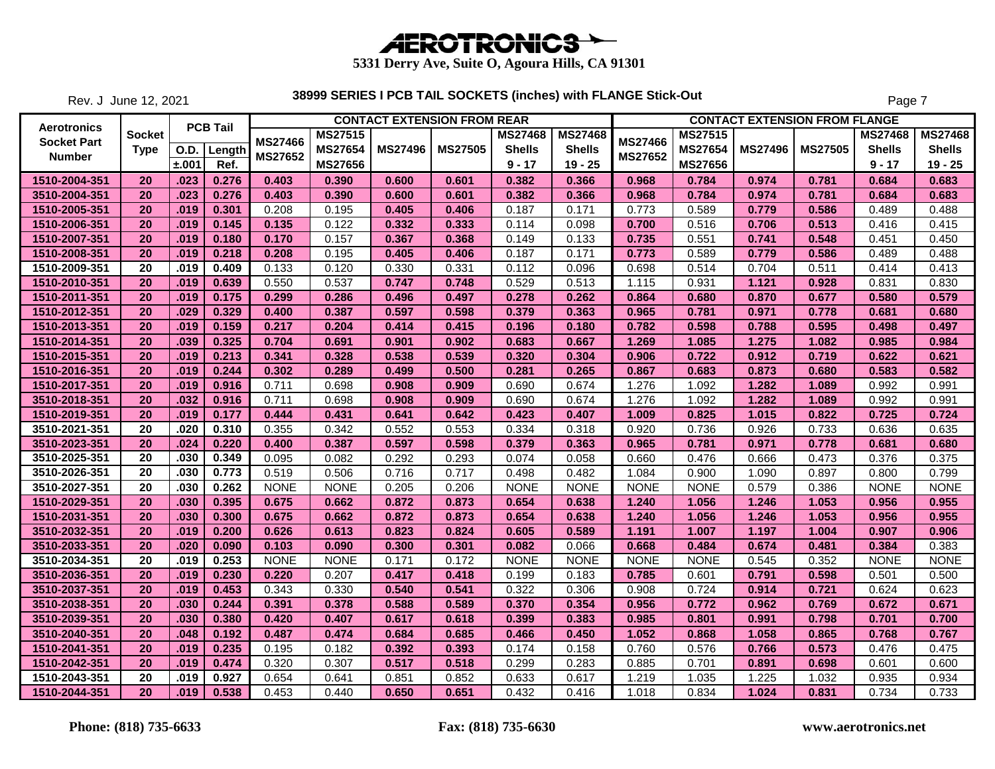

Rev. J June 12, 2021

|                    |                 |       |                             |                |                | <b>CONTACT EXTENSION FROM REAR</b> |                |                |                |                |                |                | <b>CONTACT EXTENSION FROM FLANGE</b> |                |                |
|--------------------|-----------------|-------|-----------------------------|----------------|----------------|------------------------------------|----------------|----------------|----------------|----------------|----------------|----------------|--------------------------------------|----------------|----------------|
| <b>Aerotronics</b> | Socket          |       | <b>PCB Tail</b>             |                | <b>MS27515</b> |                                    |                | <b>MS27468</b> | <b>MS27468</b> |                | <b>MS27515</b> |                |                                      | <b>MS27468</b> | <b>MS27468</b> |
| <b>Socket Part</b> | <b>Type</b>     |       | $\overline{O}$ .D.   Length | MS27466        | <b>MS27654</b> | <b>MS27496</b>                     | <b>MS27505</b> | <b>Shells</b>  | <b>Shells</b>  | <b>MS27466</b> | MS27654        | <b>MS27496</b> | <b>MS27505</b>                       | <b>Shells</b>  | <b>Shells</b>  |
| <b>Number</b>      |                 | ±.001 | Ref.                        | <b>MS27652</b> | <b>MS27656</b> |                                    |                | $9 - 17$       | $19 - 25$      | <b>MS27652</b> | <b>MS27656</b> |                |                                      | $9 - 17$       | $19 - 25$      |
| 1510-2004-351      | 20              | .023  | 0.276                       | 0.403          | 0.390          | 0.600                              | 0.601          | 0.382          | 0.366          | 0.968          | 0.784          | 0.974          | 0.781                                | 0.684          | 0.683          |
| 3510-2004-351      | 20              | .023  | 0.276                       | 0.403          | 0.390          | 0.600                              | 0.601          | 0.382          | 0.366          | 0.968          | 0.784          | 0.974          | 0.781                                | 0.684          | 0.683          |
| 1510-2005-351      | 20              | .019  | 0.301                       | 0.208          | 0.195          | 0.405                              | 0.406          | 0.187          | 0.171          | 0.773          | 0.589          | 0.779          | 0.586                                | 0.489          | 0.488          |
| 1510-2006-351      | 20              | .019  | 0.145                       | 0.135          | 0.122          | 0.332                              | 0.333          | 0.114          | 0.098          | 0.700          | 0.516          | 0.706          | 0.513                                | 0.416          | 0.415          |
| 1510-2007-351      | 20              | .019  | 0.180                       | 0.170          | 0.157          | 0.367                              | 0.368          | 0.149          | 0.133          | 0.735          | 0.551          | 0.741          | 0.548                                | 0.451          | 0.450          |
| 1510-2008-351      | 20              | .019  | 0.218                       | 0.208          | 0.195          | 0.405                              | 0.406          | 0.187          | 0.171          | 0.773          | 0.589          | 0.779          | 0.586                                | 0.489          | 0.488          |
| 1510-2009-351      | 20              | .019  | 0.409                       | 0.133          | 0.120          | 0.330                              | 0.331          | 0.112          | 0.096          | 0.698          | 0.514          | 0.704          | 0.511                                | 0.414          | 0.413          |
| 1510-2010-351      | 20              | .019  | 0.639                       | 0.550          | 0.537          | 0.747                              | 0.748          | 0.529          | 0.513          | 1.115          | 0.931          | 1.121          | 0.928                                | 0.831          | 0.830          |
| 1510-2011-351      | 20              | .019  | 0.175                       | 0.299          | 0.286          | 0.496                              | 0.497          | 0.278          | 0.262          | 0.864          | 0.680          | 0.870          | 0.677                                | 0.580          | 0.579          |
| 1510-2012-351      | 20              | .029  | 0.329                       | 0.400          | 0.387          | 0.597                              | 0.598          | 0.379          | 0.363          | 0.965          | 0.781          | 0.971          | 0.778                                | 0.681          | 0.680          |
| 1510-2013-351      | 20              | .019  | 0.159                       | 0.217          | 0.204          | 0.414                              | 0.415          | 0.196          | 0.180          | 0.782          | 0.598          | 0.788          | 0.595                                | 0.498          | 0.497          |
| 1510-2014-351      | 20              | .039  | 0.325                       | 0.704          | 0.691          | 0.901                              | 0.902          | 0.683          | 0.667          | 1.269          | 1.085          | 1.275          | 1.082                                | 0.985          | 0.984          |
| 1510-2015-351      | 20              | .019  | 0.213                       | 0.341          | 0.328          | 0.538                              | 0.539          | 0.320          | 0.304          | 0.906          | 0.722          | 0.912          | 0.719                                | 0.622          | 0.621          |
| 1510-2016-351      | 20              | .019  | 0.244                       | 0.302          | 0.289          | 0.499                              | 0.500          | 0.281          | 0.265          | 0.867          | 0.683          | 0.873          | 0.680                                | 0.583          | 0.582          |
| 1510-2017-351      | 20              | .019  | 0.916                       | 0.711          | 0.698          | 0.908                              | 0.909          | 0.690          | 0.674          | 1.276          | 1.092          | 1.282          | 1.089                                | 0.992          | 0.991          |
| 3510-2018-351      | 20              | .032  | 0.916                       | 0.711          | 0.698          | 0.908                              | 0.909          | 0.690          | 0.674          | 1.276          | 1.092          | 1.282          | 1.089                                | 0.992          | 0.991          |
| 1510-2019-351      | 20              | .019  | 0.177                       | 0.444          | 0.431          | 0.641                              | 0.642          | 0.423          | 0.407          | 1.009          | 0.825          | 1.015          | 0.822                                | 0.725          | 0.724          |
| 3510-2021-351      | 20              | .020  | 0.310                       | 0.355          | 0.342          | 0.552                              | 0.553          | 0.334          | 0.318          | 0.920          | 0.736          | 0.926          | 0.733                                | 0.636          | 0.635          |
| 3510-2023-351      | 20              | .024  | 0.220                       | 0.400          | 0.387          | 0.597                              | 0.598          | 0.379          | 0.363          | 0.965          | 0.781          | 0.971          | 0.778                                | 0.681          | 0.680          |
| 3510-2025-351      | 20              | .030  | 0.349                       | 0.095          | 0.082          | 0.292                              | 0.293          | 0.074          | 0.058          | 0.660          | 0.476          | 0.666          | 0.473                                | 0.376          | 0.375          |
| 3510-2026-351      | 20              | .030  | 0.773                       | 0.519          | 0.506          | 0.716                              | 0.717          | 0.498          | 0.482          | 1.084          | 0.900          | 1.090          | 0.897                                | 0.800          | 0.799          |
| 3510-2027-351      | $\overline{20}$ | .030  | 0.262                       | <b>NONE</b>    | <b>NONE</b>    | 0.205                              | 0.206          | <b>NONE</b>    | <b>NONE</b>    | <b>NONE</b>    | <b>NONE</b>    | 0.579          | 0.386                                | <b>NONE</b>    | <b>NONE</b>    |
| 1510-2029-351      | 20              | .030  | 0.395                       | 0.675          | 0.662          | 0.872                              | 0.873          | 0.654          | 0.638          | 1.240          | 1.056          | 1.246          | 1.053                                | 0.956          | 0.955          |
| 1510-2031-351      | 20              | .030  | 0.300                       | 0.675          | 0.662          | 0.872                              | 0.873          | 0.654          | 0.638          | 1.240          | 1.056          | 1.246          | 1.053                                | 0.956          | 0.955          |
| 3510-2032-351      | 20              | .019  | 0.200                       | 0.626          | 0.613          | 0.823                              | 0.824          | 0.605          | 0.589          | 1.191          | 1.007          | 1.197          | 1.004                                | 0.907          | 0.906          |
| 3510-2033-351      | 20              | .020  | 0.090                       | 0.103          | 0.090          | 0.300                              | 0.301          | 0.082          | 0.066          | 0.668          | 0.484          | 0.674          | 0.481                                | 0.384          | 0.383          |
| 3510-2034-351      | 20              | .019  | 0.253                       | <b>NONE</b>    | <b>NONE</b>    | 0.171                              | 0.172          | <b>NONE</b>    | <b>NONE</b>    | <b>NONE</b>    | <b>NONE</b>    | 0.545          | 0.352                                | <b>NONE</b>    | <b>NONE</b>    |
| 3510-2036-351      | 20              | .019  | 0.230                       | 0.220          | 0.207          | 0.417                              | 0.418          | 0.199          | 0.183          | 0.785          | 0.601          | 0.791          | 0.598                                | 0.501          | 0.500          |
| 3510-2037-351      | 20              | .019  | 0.453                       | 0.343          | 0.330          | 0.540                              | 0.541          | 0.322          | 0.306          | 0.908          | 0.724          | 0.914          | 0.721                                | 0.624          | 0.623          |
| 3510-2038-351      | 20              | .030  | 0.244                       | 0.391          | 0.378          | 0.588                              | 0.589          | 0.370          | 0.354          | 0.956          | 0.772          | 0.962          | 0.769                                | 0.672          | 0.671          |
| 3510-2039-351      | 20              | .030  | 0.380                       | 0.420          | 0.407          | 0.617                              | 0.618          | 0.399          | 0.383          | 0.985          | 0.801          | 0.991          | 0.798                                | 0.701          | 0.700          |
| 3510-2040-351      | 20              | .048  | 0.192                       | 0.487          | 0.474          | 0.684                              | 0.685          | 0.466          | 0.450          | 1.052          | 0.868          | 1.058          | 0.865                                | 0.768          | 0.767          |
| 1510-2041-351      | 20              | .019  | 0.235                       | 0.195          | 0.182          | 0.392                              | 0.393          | 0.174          | 0.158          | 0.760          | 0.576          | 0.766          | 0.573                                | 0.476          | 0.475          |
| 1510-2042-351      | 20              | .019  | 0.474                       | 0.320          | 0.307          | 0.517                              | 0.518          | 0.299          | 0.283          | 0.885          | 0.701          | 0.891          | 0.698                                | 0.601          | 0.600          |
| 1510-2043-351      | 20              | .019  | 0.927                       | 0.654          | 0.641          | 0.851                              | 0.852          | 0.633          | 0.617          | 1.219          | 1.035          | 1.225          | 1.032                                | 0.935          | 0.934          |
| 1510-2044-351      | 20              | .019  | 0.538                       | 0.453          | 0.440          | 0.650                              | 0.651          | 0.432          | 0.416          | 1.018          | 0.834          | 1.024          | 0.831                                | 0.734          | 0.733          |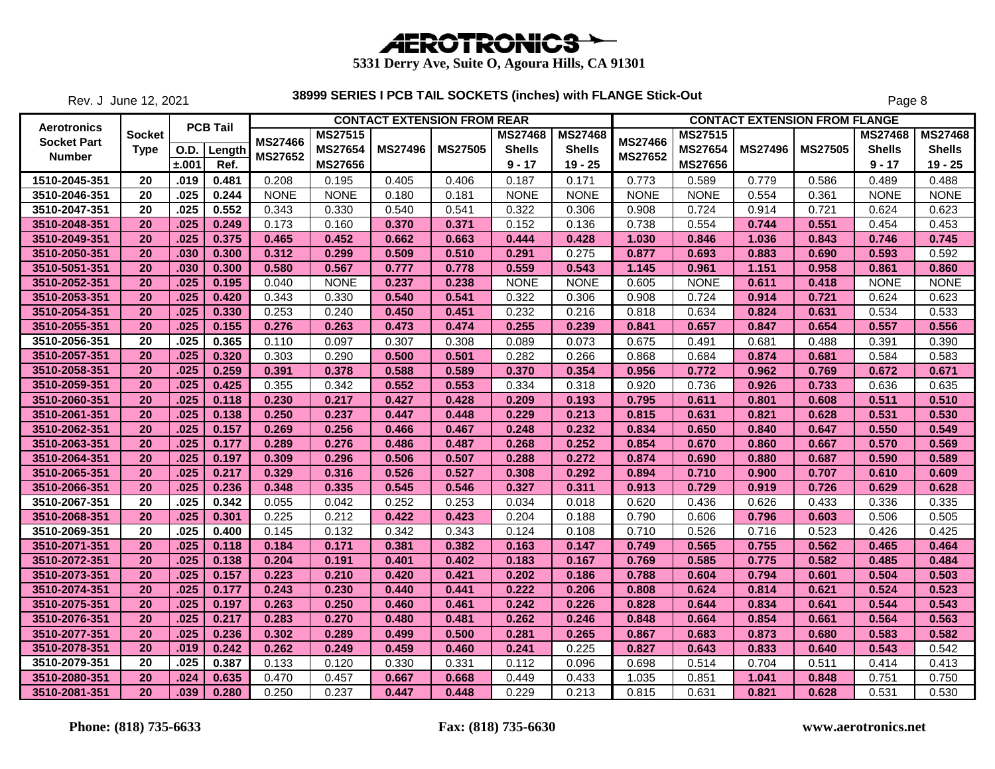

Rev. J June 12, 2021

|                    |                 |       |                 |                |                | <b>CONTACT EXTENSION FROM REAR</b> |                |                |                |                |                |                | <b>CONTACT EXTENSION FROM FLANGE</b> |                |                |
|--------------------|-----------------|-------|-----------------|----------------|----------------|------------------------------------|----------------|----------------|----------------|----------------|----------------|----------------|--------------------------------------|----------------|----------------|
| <b>Aerotronics</b> | Socket          |       | <b>PCB Tail</b> |                | <b>MS27515</b> |                                    |                | <b>MS27468</b> | <b>MS27468</b> |                | <b>MS27515</b> |                |                                      | <b>MS27468</b> | <b>MS27468</b> |
| <b>Socket Part</b> | <b>Type</b>     |       | O.D. Length     | <b>MS27466</b> | MS27654        | <b>MS27496</b>                     | <b>MS27505</b> | <b>Shells</b>  | <b>Shells</b>  | <b>MS27466</b> | <b>MS27654</b> | <b>MS27496</b> | <b>MS27505</b>                       | <b>Shells</b>  | <b>Shells</b>  |
| <b>Number</b>      |                 | ±.001 | Ref.            | MS27652        | <b>MS27656</b> |                                    |                | $9 - 17$       | $19 - 25$      | <b>MS27652</b> | <b>MS27656</b> |                |                                      | $9 - 17$       | $19 - 25$      |
| 1510-2045-351      | 20              | .019  | 0.481           | 0.208          | 0.195          | 0.405                              | 0.406          | 0.187          | 0.171          | 0.773          | 0.589          | 0.779          | 0.586                                | 0.489          | 0.488          |
| 3510-2046-351      | $\overline{20}$ | .025  | 0.244           | <b>NONE</b>    | <b>NONE</b>    | 0.180                              | 0.181          | <b>NONE</b>    | <b>NONE</b>    | <b>NONE</b>    | <b>NONE</b>    | 0.554          | 0.361                                | <b>NONE</b>    | <b>NONE</b>    |
| 3510-2047-351      | $\overline{20}$ | .025  | 0.552           | 0.343          | 0.330          | 0.540                              | 0.541          | 0.322          | 0.306          | 0.908          | 0.724          | 0.914          | 0.721                                | 0.624          | 0.623          |
| 3510-2048-351      | 20              | .025  | 0.249           | 0.173          | 0.160          | 0.370                              | 0.371          | 0.152          | 0.136          | 0.738          | 0.554          | 0.744          | 0.551                                | 0.454          | 0.453          |
| 3510-2049-351      | 20              | .025  | 0.375           | 0.465          | 0.452          | 0.662                              | 0.663          | 0.444          | 0.428          | 1.030          | 0.846          | 1.036          | 0.843                                | 0.746          | 0.745          |
| 3510-2050-351      | 20              | .030  | 0.300           | 0.312          | 0.299          | 0.509                              | 0.510          | 0.291          | 0.275          | 0.877          | 0.693          | 0.883          | 0.690                                | 0.593          | 0.592          |
| 3510-5051-351      | 20              | .030  | 0.300           | 0.580          | 0.567          | 0.777                              | 0.778          | 0.559          | 0.543          | 1.145          | 0.961          | 1.151          | 0.958                                | 0.861          | 0.860          |
| 3510-2052-351      | 20              | .025  | 0.195           | 0.040          | <b>NONE</b>    | 0.237                              | 0.238          | <b>NONE</b>    | <b>NONE</b>    | 0.605          | <b>NONE</b>    | 0.611          | 0.418                                | <b>NONE</b>    | <b>NONE</b>    |
| 3510-2053-351      | 20              | .025  | 0.420           | 0.343          | 0.330          | 0.540                              | 0.541          | 0.322          | 0.306          | 0.908          | 0.724          | 0.914          | 0.721                                | 0.624          | 0.623          |
| 3510-2054-351      | 20              | .025  | 0.330           | 0.253          | 0.240          | 0.450                              | 0.451          | 0.232          | 0.216          | 0.818          | 0.634          | 0.824          | 0.631                                | 0.534          | 0.533          |
| 3510-2055-351      | 20              | .025  | 0.155           | 0.276          | 0.263          | 0.473                              | 0.474          | 0.255          | 0.239          | 0.841          | 0.657          | 0.847          | 0.654                                | 0.557          | 0.556          |
| 3510-2056-351      | 20              | .025  | 0.365           | 0.110          | 0.097          | 0.307                              | 0.308          | 0.089          | 0.073          | 0.675          | 0.491          | 0.681          | 0.488                                | 0.391          | 0.390          |
| 3510-2057-351      | 20              | .025  | 0.320           | 0.303          | 0.290          | 0.500                              | 0.501          | 0.282          | 0.266          | 0.868          | 0.684          | 0.874          | 0.681                                | 0.584          | 0.583          |
| 3510-2058-351      | 20              | .025  | 0.259           | 0.391          | 0.378          | 0.588                              | 0.589          | 0.370          | 0.354          | 0.956          | 0.772          | 0.962          | 0.769                                | 0.672          | 0.671          |
| 3510-2059-351      | 20              | .025  | 0.425           | 0.355          | 0.342          | 0.552                              | 0.553          | 0.334          | 0.318          | 0.920          | 0.736          | 0.926          | 0.733                                | 0.636          | 0.635          |
| 3510-2060-351      | 20              | .025  | 0.118           | 0.230          | 0.217          | 0.427                              | 0.428          | 0.209          | 0.193          | 0.795          | 0.611          | 0.801          | 0.608                                | 0.511          | 0.510          |
| 3510-2061-351      | 20              | .025  | 0.138           | 0.250          | 0.237          | 0.447                              | 0.448          | 0.229          | 0.213          | 0.815          | 0.631          | 0.821          | 0.628                                | 0.531          | 0.530          |
| 3510-2062-351      | 20              | .025  | 0.157           | 0.269          | 0.256          | 0.466                              | 0.467          | 0.248          | 0.232          | 0.834          | 0.650          | 0.840          | 0.647                                | 0.550          | 0.549          |
| 3510-2063-351      | 20              | .025  | 0.177           | 0.289          | 0.276          | 0.486                              | 0.487          | 0.268          | 0.252          | 0.854          | 0.670          | 0.860          | 0.667                                | 0.570          | 0.569          |
| 3510-2064-351      | 20              | .025  | 0.197           | 0.309          | 0.296          | 0.506                              | 0.507          | 0.288          | 0.272          | 0.874          | 0.690          | 0.880          | 0.687                                | 0.590          | 0.589          |
| 3510-2065-351      | 20              | .025  | 0.217           | 0.329          | 0.316          | 0.526                              | 0.527          | 0.308          | 0.292          | 0.894          | 0.710          | 0.900          | 0.707                                | 0.610          | 0.609          |
| 3510-2066-351      | 20              | .025  | 0.236           | 0.348          | 0.335          | 0.545                              | 0.546          | 0.327          | 0.311          | 0.913          | 0.729          | 0.919          | 0.726                                | 0.629          | 0.628          |
| 3510-2067-351      | 20              | .025  | 0.342           | 0.055          | 0.042          | 0.252                              | 0.253          | 0.034          | 0.018          | 0.620          | 0.436          | 0.626          | 0.433                                | 0.336          | 0.335          |
| 3510-2068-351      | 20              | .025  | 0.301           | 0.225          | 0.212          | 0.422                              | 0.423          | 0.204          | 0.188          | 0.790          | 0.606          | 0.796          | 0.603                                | 0.506          | 0.505          |
| 3510-2069-351      | 20              | .025  | 0.400           | 0.145          | 0.132          | 0.342                              | 0.343          | 0.124          | 0.108          | 0.710          | 0.526          | 0.716          | 0.523                                | 0.426          | 0.425          |
| 3510-2071-351      | 20              | .025  | 0.118           | 0.184          | 0.171          | 0.381                              | 0.382          | 0.163          | 0.147          | 0.749          | 0.565          | 0.755          | 0.562                                | 0.465          | 0.464          |
| 3510-2072-351      | 20              | .025  | 0.138           | 0.204          | 0.191          | 0.401                              | 0.402          | 0.183          | 0.167          | 0.769          | 0.585          | 0.775          | 0.582                                | 0.485          | 0.484          |
| 3510-2073-351      | 20              | .025  | 0.157           | 0.223          | 0.210          | 0.420                              | 0.421          | 0.202          | 0.186          | 0.788          | 0.604          | 0.794          | 0.601                                | 0.504          | 0.503          |
| 3510-2074-351      | 20              | .025  | 0.177           | 0.243          | 0.230          | 0.440                              | 0.441          | 0.222          | 0.206          | 0.808          | 0.624          | 0.814          | 0.621                                | 0.524          | 0.523          |
| 3510-2075-351      | 20              | .025  | 0.197           | 0.263          | 0.250          | 0.460                              | 0.461          | 0.242          | 0.226          | 0.828          | 0.644          | 0.834          | 0.641                                | 0.544          | 0.543          |
| 3510-2076-351      | 20              | .025  | 0.217           | 0.283          | 0.270          | 0.480                              | 0.481          | 0.262          | 0.246          | 0.848          | 0.664          | 0.854          | 0.661                                | 0.564          | 0.563          |
| 3510-2077-351      | 20              | .025  | 0.236           | 0.302          | 0.289          | 0.499                              | 0.500          | 0.281          | 0.265          | 0.867          | 0.683          | 0.873          | 0.680                                | 0.583          | 0.582          |
| 3510-2078-351      | 20              | .019  | 0.242           | 0.262          | 0.249          | 0.459                              | 0.460          | 0.241          | 0.225          | 0.827          | 0.643          | 0.833          | 0.640                                | 0.543          | 0.542          |
| 3510-2079-351      | 20              | .025  | 0.387           | 0.133          | 0.120          | 0.330                              | 0.331          | 0.112          | 0.096          | 0.698          | 0.514          | 0.704          | 0.511                                | 0.414          | 0.413          |
| 3510-2080-351      | 20              | .024  | 0.635           | 0.470          | 0.457          | 0.667                              | 0.668          | 0.449          | 0.433          | 1.035          | 0.851          | 1.041          | 0.848                                | 0.751          | 0.750          |
| 3510-2081-351      | 20              | .039  | 0.280           | 0.250          | 0.237          | 0.447                              | 0.448          | 0.229          | 0.213          | 0.815          | 0.631          | 0.821          | 0.628                                | 0.531          | 0.530          |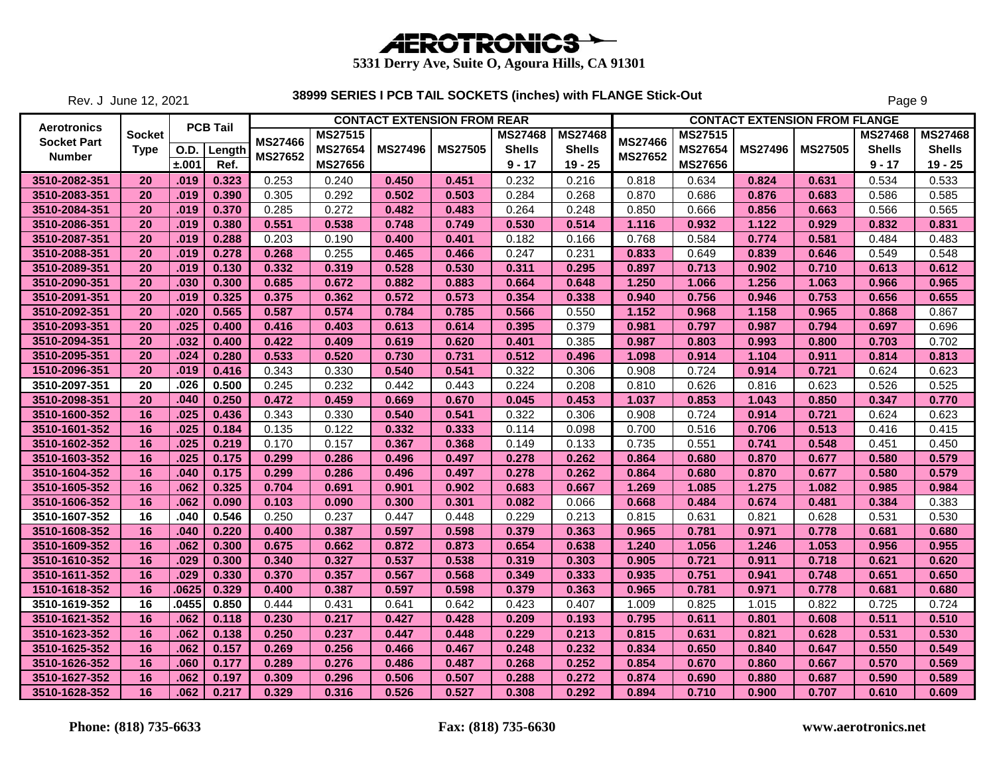

Rev. J June 12, 2021

|                    |             |       |                 |                |                |                | <b>CONTACT EXTENSION FROM REAR</b> |                |                |                |                |                | <b>CONTACT EXTENSION FROM FLANGE</b> |                |                |
|--------------------|-------------|-------|-----------------|----------------|----------------|----------------|------------------------------------|----------------|----------------|----------------|----------------|----------------|--------------------------------------|----------------|----------------|
| <b>Aerotronics</b> | Socket      |       | <b>PCB Tail</b> |                | <b>MS27515</b> |                |                                    | <b>MS27468</b> | <b>MS27468</b> |                | MS27515        |                |                                      | <b>MS27468</b> | <b>MS27468</b> |
| <b>Socket Part</b> | <b>Type</b> | O.D.  | Length          | <b>MS27466</b> | <b>MS27654</b> | <b>MS27496</b> | <b>MS27505</b>                     | <b>Shells</b>  | <b>Shells</b>  | <b>MS27466</b> | <b>MS27654</b> | <b>MS27496</b> | <b>MS27505</b>                       | <b>Shells</b>  | <b>Shells</b>  |
| <b>Number</b>      |             | ±.001 | Ref.            | <b>MS27652</b> | <b>MS27656</b> |                |                                    | $9 - 17$       | $19 - 25$      | <b>MS27652</b> | <b>MS27656</b> |                |                                      | $9 - 17$       | $19 - 25$      |
| 3510-2082-351      | 20          | .019  | 0.323           | 0.253          | 0.240          | 0.450          | 0.451                              | 0.232          | 0.216          | 0.818          | 0.634          | 0.824          | 0.631                                | 0.534          | 0.533          |
| 3510-2083-351      | 20          | .019  | 0.390           | 0.305          | 0.292          | 0.502          | 0.503                              | 0.284          | 0.268          | 0.870          | 0.686          | 0.876          | 0.683                                | 0.586          | 0.585          |
| 3510-2084-351      | 20          | .019  | 0.370           | 0.285          | 0.272          | 0.482          | 0.483                              | 0.264          | 0.248          | 0.850          | 0.666          | 0.856          | 0.663                                | 0.566          | 0.565          |
| 3510-2086-351      | 20          | .019  | 0.380           | 0.551          | 0.538          | 0.748          | 0.749                              | 0.530          | 0.514          | 1.116          | 0.932          | 1.122          | 0.929                                | 0.832          | 0.831          |
| 3510-2087-351      | 20          | .019  | 0.288           | 0.203          | 0.190          | 0.400          | 0.401                              | 0.182          | 0.166          | 0.768          | 0.584          | 0.774          | 0.581                                | 0.484          | 0.483          |
| 3510-2088-351      | 20          | .019  | 0.278           | 0.268          | 0.255          | 0.465          | 0.466                              | 0.247          | 0.231          | 0.833          | 0.649          | 0.839          | 0.646                                | 0.549          | 0.548          |
| 3510-2089-351      | 20          | .019  | 0.130           | 0.332          | 0.319          | 0.528          | 0.530                              | 0.311          | 0.295          | 0.897          | 0.713          | 0.902          | 0.710                                | 0.613          | 0.612          |
| 3510-2090-351      | 20          | .030  | 0.300           | 0.685          | 0.672          | 0.882          | 0.883                              | 0.664          | 0.648          | 1.250          | 1.066          | 1.256          | 1.063                                | 0.966          | 0.965          |
| 3510-2091-351      | 20          | .019  | 0.325           | 0.375          | 0.362          | 0.572          | 0.573                              | 0.354          | 0.338          | 0.940          | 0.756          | 0.946          | 0.753                                | 0.656          | 0.655          |
| 3510-2092-351      | 20          | .020  | 0.565           | 0.587          | 0.574          | 0.784          | 0.785                              | 0.566          | 0.550          | 1.152          | 0.968          | 1.158          | 0.965                                | 0.868          | 0.867          |
| 3510-2093-351      | 20          | .025  | 0.400           | 0.416          | 0.403          | 0.613          | 0.614                              | 0.395          | 0.379          | 0.981          | 0.797          | 0.987          | 0.794                                | 0.697          | 0.696          |
| 3510-2094-351      | 20          | .032  | 0.400           | 0.422          | 0.409          | 0.619          | 0.620                              | 0.401          | 0.385          | 0.987          | 0.803          | 0.993          | 0.800                                | 0.703          | 0.702          |
| 3510-2095-351      | 20          | .024  | 0.280           | 0.533          | 0.520          | 0.730          | 0.731                              | 0.512          | 0.496          | 1.098          | 0.914          | 1.104          | 0.911                                | 0.814          | 0.813          |
| 1510-2096-351      | 20          | .019  | 0.416           | 0.343          | 0.330          | 0.540          | 0.541                              | 0.322          | 0.306          | 0.908          | 0.724          | 0.914          | 0.721                                | 0.624          | 0.623          |
| 3510-2097-351      | 20          | .026  | 0.500           | 0.245          | 0.232          | 0.442          | 0.443                              | 0.224          | 0.208          | 0.810          | 0.626          | 0.816          | 0.623                                | 0.526          | 0.525          |
| 3510-2098-351      | 20          | .040  | 0.250           | 0.472          | 0.459          | 0.669          | 0.670                              | 0.045          | 0.453          | 1.037          | 0.853          | 1.043          | 0.850                                | 0.347          | 0.770          |
| 3510-1600-352      | 16          | .025  | 0.436           | 0.343          | 0.330          | 0.540          | 0.541                              | 0.322          | 0.306          | 0.908          | 0.724          | 0.914          | 0.721                                | 0.624          | 0.623          |
| 3510-1601-352      | 16          | .025  | 0.184           | 0.135          | 0.122          | 0.332          | 0.333                              | 0.114          | 0.098          | 0.700          | 0.516          | 0.706          | 0.513                                | 0.416          | 0.415          |
| 3510-1602-352      | 16          | .025  | 0.219           | 0.170          | 0.157          | 0.367          | 0.368                              | 0.149          | 0.133          | 0.735          | 0.551          | 0.741          | 0.548                                | 0.451          | 0.450          |
| 3510-1603-352      | 16          | .025  | 0.175           | 0.299          | 0.286          | 0.496          | 0.497                              | 0.278          | 0.262          | 0.864          | 0.680          | 0.870          | 0.677                                | 0.580          | 0.579          |
| 3510-1604-352      | 16          | .040  | 0.175           | 0.299          | 0.286          | 0.496          | 0.497                              | 0.278          | 0.262          | 0.864          | 0.680          | 0.870          | 0.677                                | 0.580          | 0.579          |
| 3510-1605-352      | 16          | .062  | 0.325           | 0.704          | 0.691          | 0.901          | 0.902                              | 0.683          | 0.667          | 1.269          | 1.085          | 1.275          | 1.082                                | 0.985          | 0.984          |
| 3510-1606-352      | 16          | .062  | 0.090           | 0.103          | 0.090          | 0.300          | 0.301                              | 0.082          | 0.066          | 0.668          | 0.484          | 0.674          | 0.481                                | 0.384          | 0.383          |
| 3510-1607-352      | 16          | .040  | 0.546           | 0.250          | 0.237          | 0.447          | 0.448                              | 0.229          | 0.213          | 0.815          | 0.631          | 0.821          | 0.628                                | 0.531          | 0.530          |
| 3510-1608-352      | 16          | .040  | 0.220           | 0.400          | 0.387          | 0.597          | 0.598                              | 0.379          | 0.363          | 0.965          | 0.781          | 0.971          | 0.778                                | 0.681          | 0.680          |
| 3510-1609-352      | 16          | .062  | 0.300           | 0.675          | 0.662          | 0.872          | 0.873                              | 0.654          | 0.638          | 1.240          | 1.056          | 1.246          | 1.053                                | 0.956          | 0.955          |
| 3510-1610-352      | 16          | .029  | 0.300           | 0.340          | 0.327          | 0.537          | 0.538                              | 0.319          | 0.303          | 0.905          | 0.721          | 0.911          | 0.718                                | 0.621          | 0.620          |
| 3510-1611-352      | 16          | .029  | 0.330           | 0.370          | 0.357          | 0.567          | 0.568                              | 0.349          | 0.333          | 0.935          | 0.751          | 0.941          | 0.748                                | 0.651          | 0.650          |
| 1510-1618-352      | 16          | .0625 | 0.329           | 0.400          | 0.387          | 0.597          | 0.598                              | 0.379          | 0.363          | 0.965          | 0.781          | 0.971          | 0.778                                | 0.681          | 0.680          |
| 3510-1619-352      | 16          | .0455 | 0.850           | 0.444          | 0.431          | 0.641          | 0.642                              | 0.423          | 0.407          | 1.009          | 0.825          | 1.015          | 0.822                                | 0.725          | 0.724          |
| 3510-1621-352      | 16          | .062  | 0.118           | 0.230          | 0.217          | 0.427          | 0.428                              | 0.209          | 0.193          | 0.795          | 0.611          | 0.801          | 0.608                                | 0.511          | 0.510          |
| 3510-1623-352      | 16          | .062  | 0.138           | 0.250          | 0.237          | 0.447          | 0.448                              | 0.229          | 0.213          | 0.815          | 0.631          | 0.821          | 0.628                                | 0.531          | 0.530          |
| 3510-1625-352      | 16          | .062  | 0.157           | 0.269          | 0.256          | 0.466          | 0.467                              | 0.248          | 0.232          | 0.834          | 0.650          | 0.840          | 0.647                                | 0.550          | 0.549          |
| 3510-1626-352      | 16          | .060  | 0.177           | 0.289          | 0.276          | 0.486          | 0.487                              | 0.268          | 0.252          | 0.854          | 0.670          | 0.860          | 0.667                                | 0.570          | 0.569          |
| 3510-1627-352      | 16          | .062  | 0.197           | 0.309          | 0.296          | 0.506          | 0.507                              | 0.288          | 0.272          | 0.874          | 0.690          | 0.880          | 0.687                                | 0.590          | 0.589          |
| 3510-1628-352      | 16          | .062  | 0.217           | 0.329          | 0.316          | 0.526          | 0.527                              | 0.308          | 0.292          | 0.894          | 0.710          | 0.900          | 0.707                                | 0.610          | 0.609          |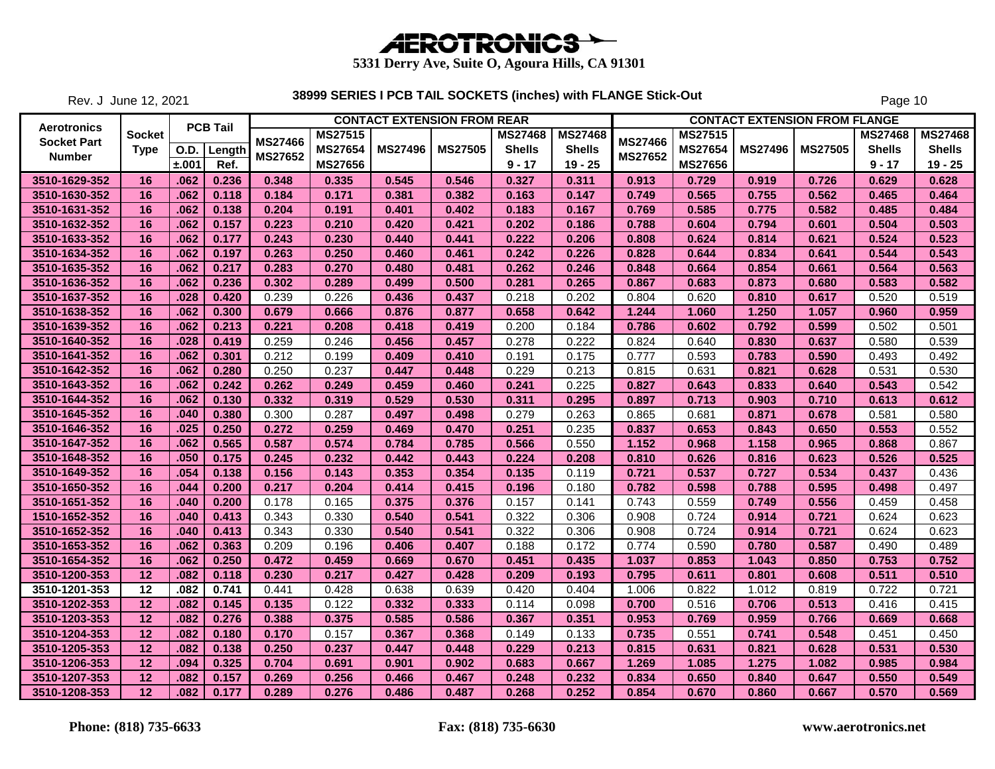

Rev. J June 12, 2021

|                    |                 |       |                 |                |                | <b>CONTACT EXTENSION FROM REAR</b> |                |                |                |                |                |                | <b>CONTACT EXTENSION FROM FLANGE</b> |                |                |
|--------------------|-----------------|-------|-----------------|----------------|----------------|------------------------------------|----------------|----------------|----------------|----------------|----------------|----------------|--------------------------------------|----------------|----------------|
| Aerotronics        | <b>Socket</b>   |       | <b>PCB Tail</b> | <b>MS27466</b> | <b>MS27515</b> |                                    |                | <b>MS27468</b> | <b>MS27468</b> | <b>MS27466</b> | <b>MS27515</b> |                |                                      | <b>MS27468</b> | <b>MS27468</b> |
| <b>Socket Part</b> | <b>Type</b>     | O.D.  | Length          |                | <b>MS27654</b> | <b>MS27496</b>                     | <b>MS27505</b> | <b>Shells</b>  | <b>Shells</b>  |                | MS27654        | <b>MS27496</b> | <b>MS27505</b>                       | <b>Shells</b>  | <b>Shells</b>  |
| <b>Number</b>      |                 | ±.001 | Ref.            | MS27652        | <b>MS27656</b> |                                    |                | $9 - 17$       | $19 - 25$      | <b>MS27652</b> | <b>MS27656</b> |                |                                      | $9 - 17$       | $19 - 25$      |
| 3510-1629-352      | 16              | .062  | 0.236           | 0.348          | 0.335          | 0.545                              | 0.546          | 0.327          | 0.311          | 0.913          | 0.729          | 0.919          | 0.726                                | 0.629          | 0.628          |
| 3510-1630-352      | 16              | .062  | 0.118           | 0.184          | 0.171          | 0.381                              | 0.382          | 0.163          | 0.147          | 0.749          | 0.565          | 0.755          | 0.562                                | 0.465          | 0.464          |
| 3510-1631-352      | 16              | .062  | 0.138           | 0.204          | 0.191          | 0.401                              | 0.402          | 0.183          | 0.167          | 0.769          | 0.585          | 0.775          | 0.582                                | 0.485          | 0.484          |
| 3510-1632-352      | 16              | .062  | 0.157           | 0.223          | 0.210          | 0.420                              | 0.421          | 0.202          | 0.186          | 0.788          | 0.604          | 0.794          | 0.601                                | 0.504          | 0.503          |
| 3510-1633-352      | 16              | .062  | 0.177           | 0.243          | 0.230          | 0.440                              | 0.441          | 0.222          | 0.206          | 0.808          | 0.624          | 0.814          | 0.621                                | 0.524          | 0.523          |
| 3510-1634-352      | 16              | .062  | 0.197           | 0.263          | 0.250          | 0.460                              | 0.461          | 0.242          | 0.226          | 0.828          | 0.644          | 0.834          | 0.641                                | 0.544          | 0.543          |
| 3510-1635-352      | 16              | .062  | 0.217           | 0.283          | 0.270          | 0.480                              | 0.481          | 0.262          | 0.246          | 0.848          | 0.664          | 0.854          | 0.661                                | 0.564          | 0.563          |
| 3510-1636-352      | 16              | .062  | 0.236           | 0.302          | 0.289          | 0.499                              | 0.500          | 0.281          | 0.265          | 0.867          | 0.683          | 0.873          | 0.680                                | 0.583          | 0.582          |
| 3510-1637-352      | 16              | .028  | 0.420           | 0.239          | 0.226          | 0.436                              | 0.437          | 0.218          | 0.202          | 0.804          | 0.620          | 0.810          | 0.617                                | 0.520          | 0.519          |
| 3510-1638-352      | 16              | .062  | 0.300           | 0.679          | 0.666          | 0.876                              | 0.877          | 0.658          | 0.642          | 1.244          | 1.060          | 1.250          | 1.057                                | 0.960          | 0.959          |
| 3510-1639-352      | 16              | .062  | 0.213           | 0.221          | 0.208          | 0.418                              | 0.419          | 0.200          | 0.184          | 0.786          | 0.602          | 0.792          | 0.599                                | 0.502          | 0.501          |
| 3510-1640-352      | 16              | .028  | 0.419           | 0.259          | 0.246          | 0.456                              | 0.457          | 0.278          | 0.222          | 0.824          | 0.640          | 0.830          | 0.637                                | 0.580          | 0.539          |
| 3510-1641-352      | 16              | .062  | 0.301           | 0.212          | 0.199          | 0.409                              | 0.410          | 0.191          | 0.175          | 0.777          | 0.593          | 0.783          | 0.590                                | 0.493          | 0.492          |
| 3510-1642-352      | 16              | .062  | 0.280           | 0.250          | 0.237          | 0.447                              | 0.448          | 0.229          | 0.213          | 0.815          | 0.631          | 0.821          | 0.628                                | 0.531          | 0.530          |
| 3510-1643-352      | 16              | .062  | 0.242           | 0.262          | 0.249          | 0.459                              | 0.460          | 0.241          | 0.225          | 0.827          | 0.643          | 0.833          | 0.640                                | 0.543          | 0.542          |
| 3510-1644-352      | 16              | .062  | 0.130           | 0.332          | 0.319          | 0.529                              | 0.530          | 0.311          | 0.295          | 0.897          | 0.713          | 0.903          | 0.710                                | 0.613          | 0.612          |
| 3510-1645-352      | 16              | .040  | 0.380           | 0.300          | 0.287          | 0.497                              | 0.498          | 0.279          | 0.263          | 0.865          | 0.681          | 0.871          | 0.678                                | 0.581          | 0.580          |
| 3510-1646-352      | 16              | .025  | 0.250           | 0.272          | 0.259          | 0.469                              | 0.470          | 0.251          | 0.235          | 0.837          | 0.653          | 0.843          | 0.650                                | 0.553          | 0.552          |
| 3510-1647-352      | 16              | .062  | 0.565           | 0.587          | 0.574          | 0.784                              | 0.785          | 0.566          | 0.550          | 1.152          | 0.968          | 1.158          | 0.965                                | 0.868          | 0.867          |
| 3510-1648-352      | 16              | .050  | 0.175           | 0.245          | 0.232          | 0.442                              | 0.443          | 0.224          | 0.208          | 0.810          | 0.626          | 0.816          | 0.623                                | 0.526          | 0.525          |
| 3510-1649-352      | 16              | .054  | 0.138           | 0.156          | 0.143          | 0.353                              | 0.354          | 0.135          | 0.119          | 0.721          | 0.537          | 0.727          | 0.534                                | 0.437          | 0.436          |
| 3510-1650-352      | 16              | .044  | 0.200           | 0.217          | 0.204          | 0.414                              | 0.415          | 0.196          | 0.180          | 0.782          | 0.598          | 0.788          | 0.595                                | 0.498          | 0.497          |
| 3510-1651-352      | 16              | .040  | 0.200           | 0.178          | 0.165          | 0.375                              | 0.376          | 0.157          | 0.141          | 0.743          | 0.559          | 0.749          | 0.556                                | 0.459          | 0.458          |
| 1510-1652-352      | 16              | .040  | 0.413           | 0.343          | 0.330          | 0.540                              | 0.541          | 0.322          | 0.306          | 0.908          | 0.724          | 0.914          | 0.721                                | 0.624          | 0.623          |
| 3510-1652-352      | 16              | .040  | 0.413           | 0.343          | 0.330          | 0.540                              | 0.541          | 0.322          | 0.306          | 0.908          | 0.724          | 0.914          | 0.721                                | 0.624          | 0.623          |
| 3510-1653-352      | 16              | .062  | 0.363           | 0.209          | 0.196          | 0.406                              | 0.407          | 0.188          | 0.172          | 0.774          | 0.590          | 0.780          | 0.587                                | 0.490          | 0.489          |
| 3510-1654-352      | 16              | .062  | 0.250           | 0.472          | 0.459          | 0.669                              | 0.670          | 0.451          | 0.435          | 1.037          | 0.853          | 1.043          | 0.850                                | 0.753          | 0.752          |
| 3510-1200-353      | 12              | .082  | 0.118           | 0.230          | 0.217          | 0.427                              | 0.428          | 0.209          | 0.193          | 0.795          | 0.611          | 0.801          | 0.608                                | 0.511          | 0.510          |
| 3510-1201-353      | $\overline{12}$ | .082  | 0.741           | 0.441          | 0.428          | 0.638                              | 0.639          | 0.420          | 0.404          | 1.006          | 0.822          | 1.012          | 0.819                                | 0.722          | 0.721          |
| 3510-1202-353      | 12              | .082  | 0.145           | 0.135          | 0.122          | 0.332                              | 0.333          | 0.114          | 0.098          | 0.700          | 0.516          | 0.706          | 0.513                                | 0.416          | 0.415          |
| 3510-1203-353      | 12              | .082  | 0.276           | 0.388          | 0.375          | 0.585                              | 0.586          | 0.367          | 0.351          | 0.953          | 0.769          | 0.959          | 0.766                                | 0.669          | 0.668          |
| 3510-1204-353      | 12              | .082  | 0.180           | 0.170          | 0.157          | 0.367                              | 0.368          | 0.149          | 0.133          | 0.735          | 0.551          | 0.741          | 0.548                                | 0.451          | 0.450          |
| 3510-1205-353      | 12              | .082  | 0.138           | 0.250          | 0.237          | 0.447                              | 0.448          | 0.229          | 0.213          | 0.815          | 0.631          | 0.821          | 0.628                                | 0.531          | 0.530          |
| 3510-1206-353      | 12              | .094  | 0.325           | 0.704          | 0.691          | 0.901                              | 0.902          | 0.683          | 0.667          | 1.269          | 1.085          | 1.275          | 1.082                                | 0.985          | 0.984          |
| 3510-1207-353      | 12              | .082  | 0.157           | 0.269          | 0.256          | 0.466                              | 0.467          | 0.248          | 0.232          | 0.834          | 0.650          | 0.840          | 0.647                                | 0.550          | 0.549          |
| 3510-1208-353      | 12              | .082  | 0.177           | 0.289          | 0.276          | 0.486                              | 0.487          | 0.268          | 0.252          | 0.854          | 0.670          | 0.860          | 0.667                                | 0.570          | 0.569          |